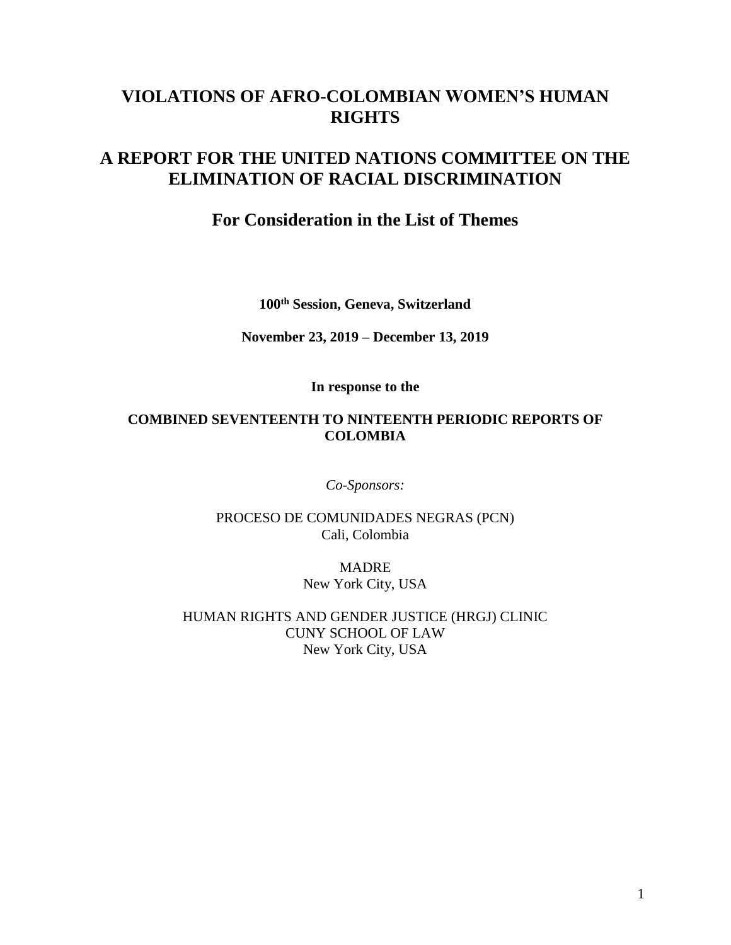# **VIOLATIONS OF AFRO-COLOMBIAN WOMEN'S HUMAN RIGHTS**

# **A REPORT FOR THE UNITED NATIONS COMMITTEE ON THE ELIMINATION OF RACIAL DISCRIMINATION**

## **For Consideration in the List of Themes**

**100th Session, Geneva, Switzerland**

**November 23, 2019 – December 13, 2019**

**In response to the**

### **COMBINED SEVENTEENTH TO NINTEENTH PERIODIC REPORTS OF COLOMBIA**

*Co-Sponsors:*

PROCESO DE COMUNIDADES NEGRAS (PCN) Cali, Colombia

> **MADRE** New York City, USA

HUMAN RIGHTS AND GENDER JUSTICE (HRGJ) CLINIC CUNY SCHOOL OF LAW New York City, USA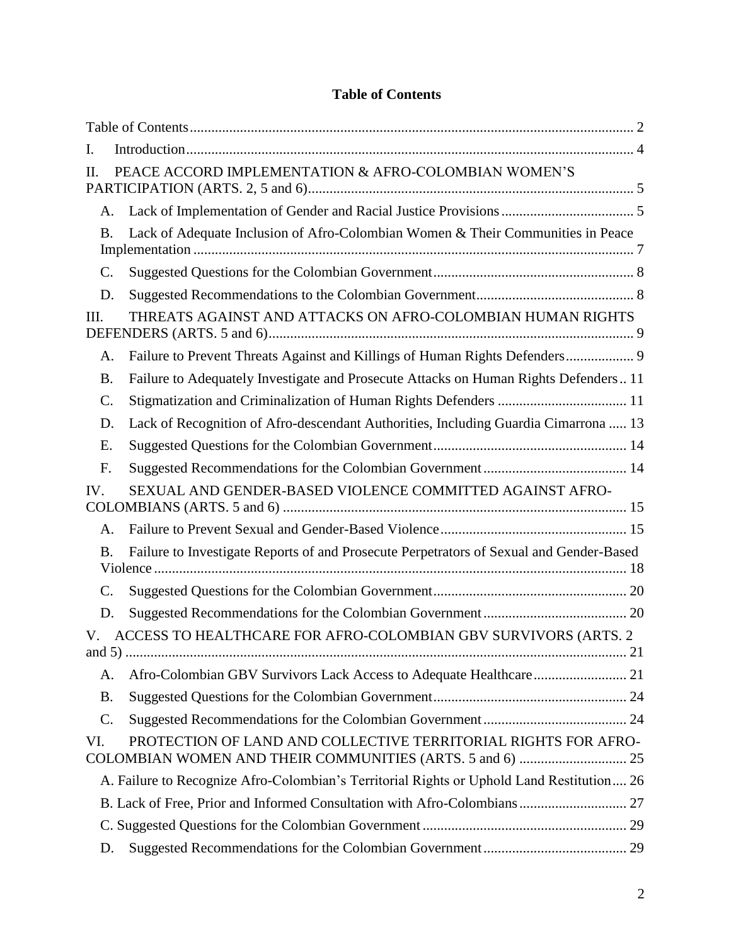<span id="page-1-0"></span>

| <b>Table of Contents</b> |  |
|--------------------------|--|
|--------------------------|--|

| I.              |                                                                                           |    |
|-----------------|-------------------------------------------------------------------------------------------|----|
| H.              | PEACE ACCORD IMPLEMENTATION & AFRO-COLOMBIAN WOMEN'S                                      |    |
| Α.              |                                                                                           |    |
| <b>B.</b>       | Lack of Adequate Inclusion of Afro-Colombian Women & Their Communities in Peace           |    |
| $\mathbf{C}$ .  |                                                                                           |    |
| D.              |                                                                                           |    |
| Ш.              | THREATS AGAINST AND ATTACKS ON AFRO-COLOMBIAN HUMAN RIGHTS                                |    |
| A.              |                                                                                           |    |
| <b>B.</b>       | Failure to Adequately Investigate and Prosecute Attacks on Human Rights Defenders 11      |    |
| $\mathcal{C}$ . | Stigmatization and Criminalization of Human Rights Defenders  11                          |    |
| D.              | Lack of Recognition of Afro-descendant Authorities, Including Guardia Cimarrona  13       |    |
| Е.              |                                                                                           |    |
| F.              |                                                                                           |    |
| IV.             | SEXUAL AND GENDER-BASED VIOLENCE COMMITTED AGAINST AFRO-                                  |    |
| A.              |                                                                                           |    |
| Β.              | Failure to Investigate Reports of and Prosecute Perpetrators of Sexual and Gender-Based   |    |
| C.              |                                                                                           |    |
| D.              |                                                                                           |    |
| and $5)$        | ACCESS TO HEALTHCARE FOR AFRO-COLOMBIAN GBV SURVIVORS (ARTS. 2                            | 21 |
| А.              |                                                                                           |    |
| <b>B.</b>       |                                                                                           |    |
| C.              |                                                                                           |    |
| VI.             | PROTECTION OF LAND AND COLLECTIVE TERRITORIAL RIGHTS FOR AFRO-                            |    |
|                 | A. Failure to Recognize Afro-Colombian's Territorial Rights or Uphold Land Restitution 26 |    |
|                 |                                                                                           |    |
|                 |                                                                                           |    |
| D.              |                                                                                           |    |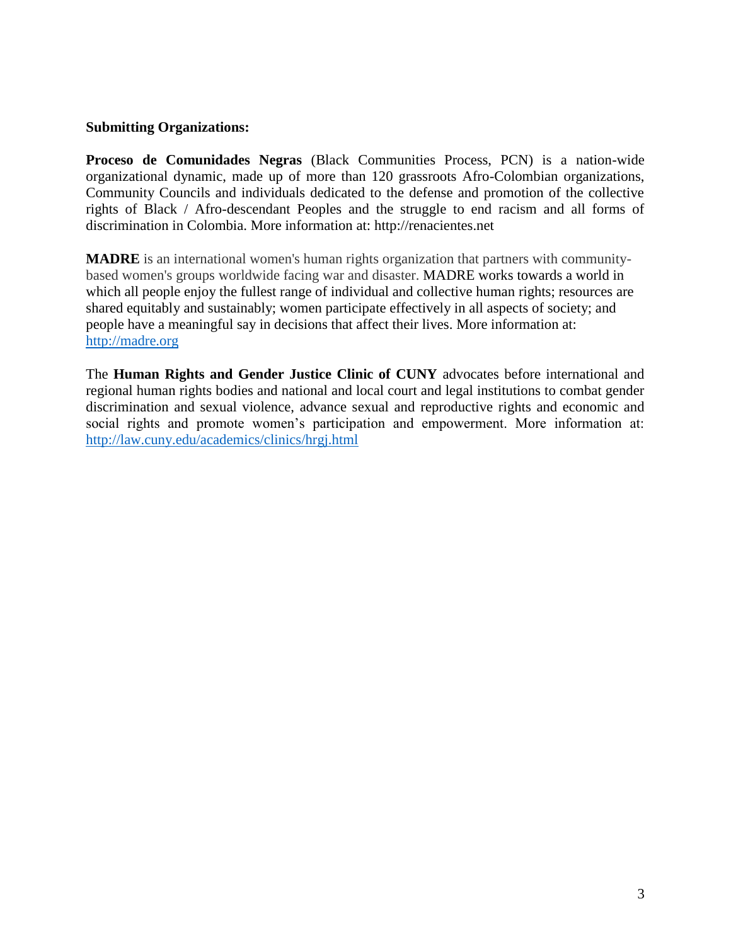#### **Submitting Organizations:**

**Proceso de Comunidades Negras** (Black Communities Process, PCN) is a nation-wide organizational dynamic, made up of more than 120 grassroots Afro-Colombian organizations, Community Councils and individuals dedicated to the defense and promotion of the collective rights of Black / Afro-descendant Peoples and the struggle to end racism and all forms of discrimination in Colombia. More information at: http://renacientes.net

**MADRE** is an international women's human rights organization that partners with communitybased women's groups worldwide facing war and disaster. MADRE works towards a world in which all people enjoy the fullest range of individual and collective human rights; resources are shared equitably and sustainably; women participate effectively in all aspects of society; and people have a meaningful say in decisions that affect their lives. More information at: [http://madre.org](http://madre.org/)

The **Human Rights and Gender Justice Clinic of CUNY** advocates before international and regional human rights bodies and national and local court and legal institutions to combat gender discrimination and sexual violence, advance sexual and reproductive rights and economic and social rights and promote women's participation and empowerment. More information at: <http://law.cuny.edu/academics/clinics/hrgj.html>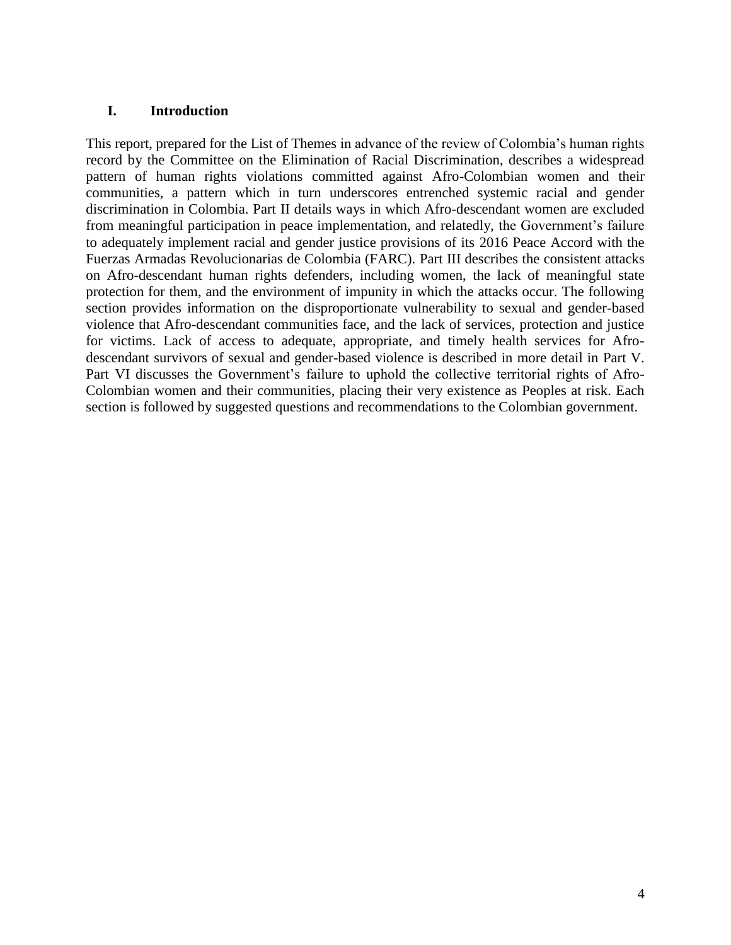#### <span id="page-3-0"></span>**I. Introduction**

This report, prepared for the List of Themes in advance of the review of Colombia's human rights record by the Committee on the Elimination of Racial Discrimination, describes a widespread pattern of human rights violations committed against Afro-Colombian women and their communities, a pattern which in turn underscores entrenched systemic racial and gender discrimination in Colombia. Part II details ways in which Afro-descendant women are excluded from meaningful participation in peace implementation, and relatedly, the Government's failure to adequately implement racial and gender justice provisions of its 2016 Peace Accord with the Fuerzas Armadas Revolucionarias de Colombia (FARC). Part III describes the consistent attacks on Afro-descendant human rights defenders, including women, the lack of meaningful state protection for them, and the environment of impunity in which the attacks occur. The following section provides information on the disproportionate vulnerability to sexual and gender-based violence that Afro-descendant communities face, and the lack of services, protection and justice for victims. Lack of access to adequate, appropriate, and timely health services for Afrodescendant survivors of sexual and gender-based violence is described in more detail in Part V. Part VI discusses the Government's failure to uphold the collective territorial rights of Afro-Colombian women and their communities, placing their very existence as Peoples at risk. Each section is followed by suggested questions and recommendations to the Colombian government.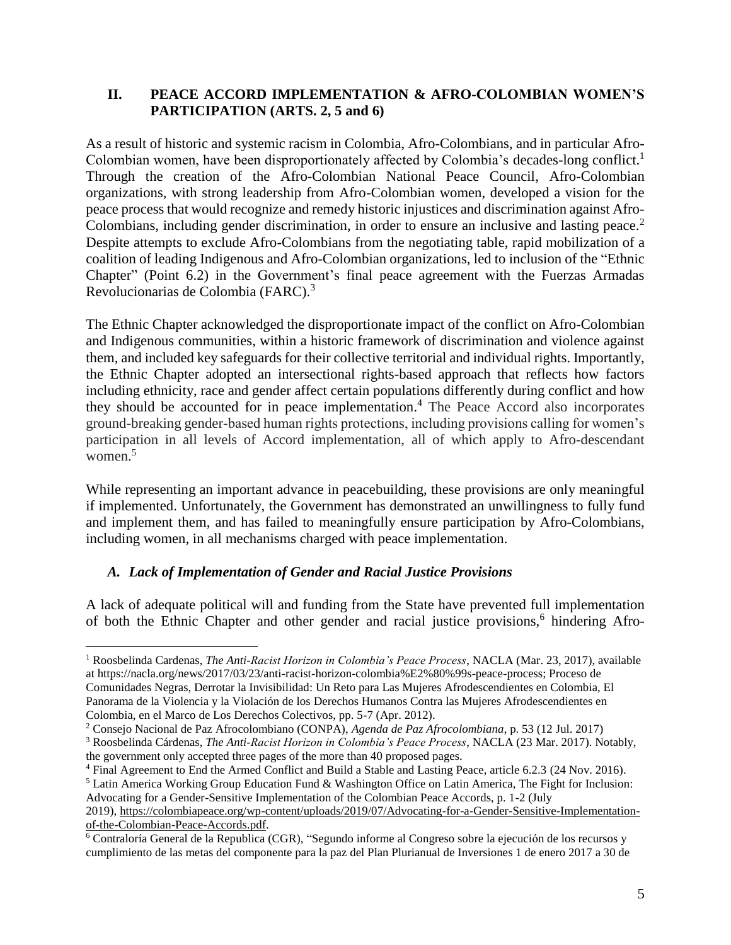### <span id="page-4-0"></span>**II. PEACE ACCORD IMPLEMENTATION & AFRO-COLOMBIAN WOMEN'S PARTICIPATION (ARTS. 2, 5 and 6)**

As a result of historic and systemic racism in Colombia, Afro-Colombians, and in particular Afro-Colombian women, have been disproportionately affected by Colombia's decades-long conflict.<sup>1</sup> Through the creation of the Afro-Colombian National Peace Council, Afro-Colombian organizations, with strong leadership from Afro-Colombian women, developed a vision for the peace process that would recognize and remedy historic injustices and discrimination against Afro-Colombians, including gender discrimination, in order to ensure an inclusive and lasting peace.<sup>2</sup> Despite attempts to exclude Afro-Colombians from the negotiating table, rapid mobilization of a coalition of leading Indigenous and Afro-Colombian organizations, led to inclusion of the "Ethnic Chapter" (Point 6.2) in the Government's final peace agreement with the Fuerzas Armadas Revolucionarias de Colombia (FARC).<sup>3</sup>

The Ethnic Chapter acknowledged the disproportionate impact of the conflict on Afro-Colombian and Indigenous communities, within a historic framework of discrimination and violence against them, and included key safeguards for their collective territorial and individual rights. Importantly, the Ethnic Chapter adopted an intersectional rights-based approach that reflects how factors including ethnicity, race and gender affect certain populations differently during conflict and how they should be accounted for in peace implementation. <sup>4</sup> The Peace Accord also incorporates ground-breaking gender-based human rights protections, including provisions calling for women's participation in all levels of Accord implementation, all of which apply to Afro-descendant women. $5$ 

While representing an important advance in peacebuilding, these provisions are only meaningful if implemented. Unfortunately, the Government has demonstrated an unwillingness to fully fund and implement them, and has failed to meaningfully ensure participation by Afro-Colombians, including women, in all mechanisms charged with peace implementation.

### <span id="page-4-1"></span>*A. Lack of Implementation of Gender and Racial Justice Provisions*

A lack of adequate political will and funding from the State have prevented full implementation of both the Ethnic Chapter and other gender and racial justice provisions,<sup>6</sup> hindering Afro-

Advocating for a Gender-Sensitive Implementation of the Colombian Peace Accords, p. 1-2 (July

 $\overline{a}$ <sup>1</sup> Roosbelinda Cardenas, *The Anti-Racist Horizon in Colombia's Peace Process*, NACLA (Mar. 23, 2017), available at https://nacla.org/news/2017/03/23/anti-racist-horizon-colombia%E2%80%99s-peace-process; Proceso de Comunidades Negras, Derrotar la Invisibilidad: Un Reto para Las Mujeres Afrodescendientes en Colombia, El Panorama de la Violencia y la Violación de los Derechos Humanos Contra las Mujeres Afrodescendientes en Colombia, en el Marco de Los Derechos Colectivos, pp. 5-7 (Apr. 2012).

<sup>2</sup> Consejo Nacional de Paz Afrocolombiano (CONPA), *Agenda de Paz Afrocolombiana*, p. 53 (12 Jul. 2017)

<sup>3</sup> Roosbelinda Cárdenas, *The Anti-Racist Horizon in Colombia's Peace Process*, NACLA (23 Mar. 2017). Notably, the government only accepted three pages of the more than 40 proposed pages.

<sup>4</sup> Final Agreement to End the Armed Conflict and Build a Stable and Lasting Peace, article 6.2.3 (24 Nov. 2016). <sup>5</sup> Latin America Working Group Education Fund & Washington Office on Latin America, The Fight for Inclusion:

<sup>2019),</sup> [https://colombiapeace.org/wp-content/uploads/2019/07/Advocating-for-a-Gender-Sensitive-Implementation](https://colombiapeace.org/wp-content/uploads/2019/07/Advocating-for-a-Gender-Sensitive-Implementation-of-the-Colombian-Peace-Accords.pdf)[of-the-Colombian-Peace-Accords.pdf.](https://colombiapeace.org/wp-content/uploads/2019/07/Advocating-for-a-Gender-Sensitive-Implementation-of-the-Colombian-Peace-Accords.pdf)

<sup>6</sup> Contraloría General de la Republica (CGR), "Segundo informe al Congreso sobre la ejecución de los recursos y cumplimiento de las metas del componente para la paz del Plan Plurianual de Inversiones 1 de enero 2017 a 30 de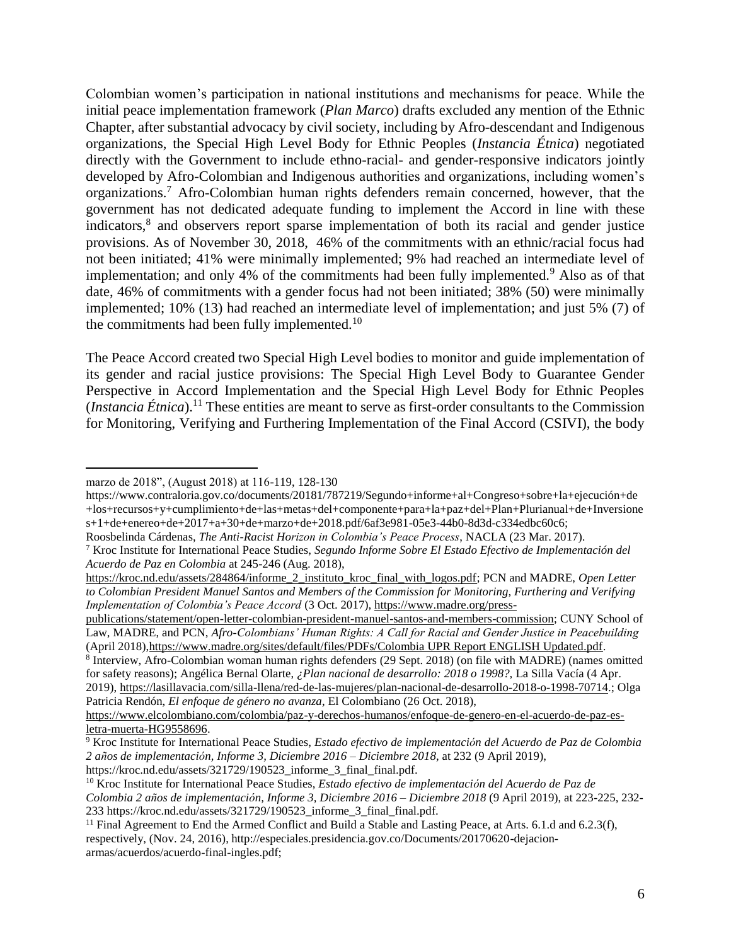Colombian women's participation in national institutions and mechanisms for peace. While the initial peace implementation framework (*Plan Marco*) drafts excluded any mention of the Ethnic Chapter, after substantial advocacy by civil society, including by Afro-descendant and Indigenous organizations, the Special High Level Body for Ethnic Peoples (*Instancia Étnica*) negotiated directly with the Government to include ethno-racial- and gender-responsive indicators jointly developed by Afro-Colombian and Indigenous authorities and organizations, including women's organizations.<sup>7</sup> Afro-Colombian human rights defenders remain concerned, however, that the government has not dedicated adequate funding to implement the Accord in line with these indicators, 8 and observers report sparse implementation of both its racial and gender justice provisions. As of November 30, 2018, 46% of the commitments with an ethnic/racial focus had not been initiated; 41% were minimally implemented; 9% had reached an intermediate level of implementation; and only 4% of the commitments had been fully implemented.<sup>9</sup> Also as of that date, 46% of commitments with a gender focus had not been initiated; 38% (50) were minimally implemented; 10% (13) had reached an intermediate level of implementation; and just 5% (7) of the commitments had been fully implemented. $10$ 

The Peace Accord created two Special High Level bodies to monitor and guide implementation of its gender and racial justice provisions: The Special High Level Body to Guarantee Gender Perspective in Accord Implementation and the Special High Level Body for Ethnic Peoples (*Instancia Étnica*).<sup>11</sup> These entities are meant to serve as first-order consultants to the Commission for Monitoring, Verifying and Furthering Implementation of the Final Accord (CSIVI), the body

 $\overline{a}$ 

Roosbelinda Cárdenas, *The Anti-Racist Horizon in Colombia's Peace Process*, NACLA (23 Mar. 2017).

marzo de 2018", (August 2018) at 116-119, 128-130

https://www.contraloria.gov.co/documents/20181/787219/Segundo+informe+al+Congreso+sobre+la+ejecución+de +los+recursos+y+cumplimiento+de+las+metas+del+componente+para+la+paz+del+Plan+Plurianual+de+Inversione s+1+de+enereo+de+2017+a+30+de+marzo+de+2018.pdf/6af3e981-05e3-44b0-8d3d-c334edbc60c6;

<sup>7</sup> Kroc Institute for International Peace Studies, *Segundo Informe Sobre El Estado Efectivo de Implementación del Acuerdo de Paz en Colombia* at 245-246 (Aug. 2018),

[https://kroc.nd.edu/assets/284864/informe\\_2\\_instituto\\_kroc\\_final\\_with\\_logos.pdf;](https://kroc.nd.edu/assets/284864/informe_2_instituto_kroc_final_with_logos.pdf) PCN and MADRE, *Open Letter to Colombian President Manuel Santos and Members of the Commission for Monitoring, Furthering and Verifying Implementation of Colombia's Peace Accord* (3 Oct. 2017)[, https://www.madre.org/press-](https://www.madre.org/press-publications/statement/open-letter-colombian-president-manuel-santos-and-members-commission)

[publications/statement/open-letter-colombian-president-manuel-santos-and-members-commission;](https://www.madre.org/press-publications/statement/open-letter-colombian-president-manuel-santos-and-members-commission) CUNY School of Law, MADRE, and PCN, *Afro-Colombians' Human Rights: A Call for Racial and Gender Justice in Peacebuilding* (April 2018)[,https://www.madre.org/sites/default/files/PDFs/Colombia UPR Report ENGLISH Updated.pdf.](https://www.madre.org/sites/default/files/PDFs/Colombia%20UPR%20Report%20ENGLISH%20Updated.pdf)

<sup>8</sup> Interview, Afro-Colombian woman human rights defenders (29 Sept. 2018) (on file with MADRE) (names omitted for safety reasons); Angélica Bernal Olarte, *¿Plan nacional de desarrollo: 2018 o 1998?,* La Silla Vacía (4 Apr.

<sup>2019),</sup> [https://lasillavacia.com/silla-llena/red-de-las-mujeres/plan-nacional-de-desarrollo-2018-o-1998-70714.](https://lasillavacia.com/silla-llena/red-de-las-mujeres/plan-nacional-de-desarrollo-2018-o-1998-70714); Olga Patricia Rendón, *El enfoque de género no avanza*, El Colombiano (26 Oct. 2018),

[https://www.elcolombiano.com/colombia/paz-y-derechos-humanos/enfoque-de-genero-en-el-acuerdo-de-paz-es](https://www.elcolombiano.com/colombia/paz-y-derechos-humanos/enfoque-de-genero-en-el-acuerdo-de-paz-es-letra-muerta-HG9558696)[letra-muerta-HG9558696.](https://www.elcolombiano.com/colombia/paz-y-derechos-humanos/enfoque-de-genero-en-el-acuerdo-de-paz-es-letra-muerta-HG9558696)

<sup>9</sup> Kroc Institute for International Peace Studies, *Estado efectivo de implementación del Acuerdo de Paz de Colombia 2 años de implementación, Informe 3, Diciembre 2016 – Diciembre 2018*, at 232 (9 April 2019),

https://kroc.nd.edu/assets/321729/190523\_informe\_3\_final\_final.pdf.

<sup>10</sup> Kroc Institute for International Peace Studies, *Estado efectivo de implementación del Acuerdo de Paz de Colombia 2 años de implementación, Informe 3, Diciembre 2016 – Diciembre 2018* (9 April 2019), at 223-225, 232- 233 https://kroc.nd.edu/assets/321729/190523\_informe\_3\_final\_final.pdf.

<sup>&</sup>lt;sup>11</sup> Final Agreement to End the Armed Conflict and Build a Stable and Lasting Peace, at Arts. 6.1.d and 6.2.3(f), respectively, (Nov. 24, 2016), http://especiales.presidencia.gov.co/Documents/20170620-dejacionarmas/acuerdos/acuerdo-final-ingles.pdf;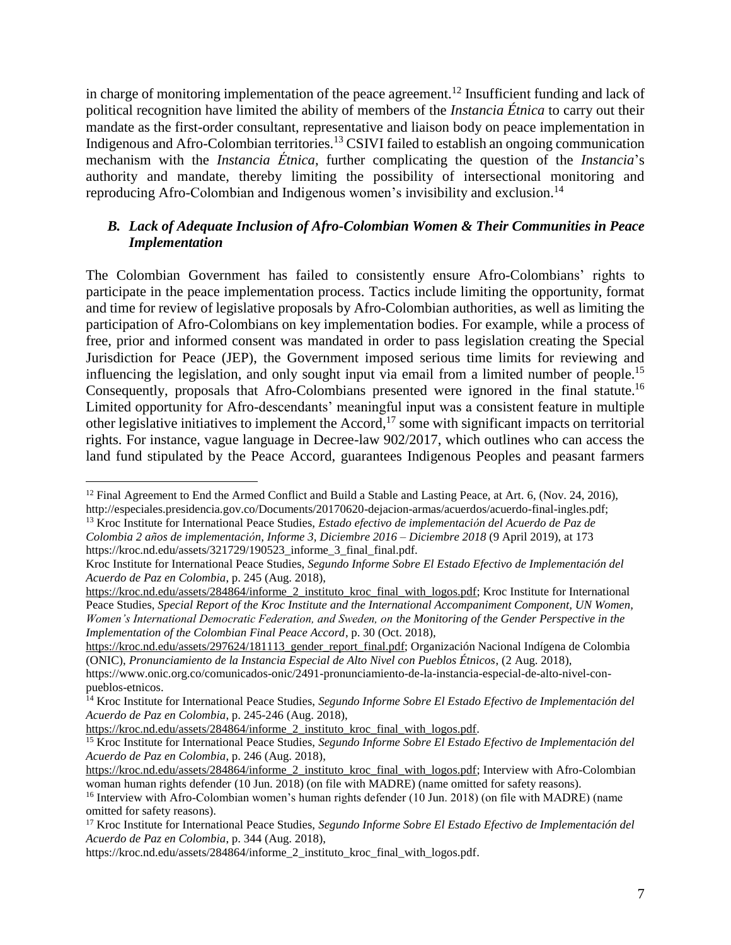in charge of monitoring implementation of the peace agreement.<sup>12</sup> Insufficient funding and lack of political recognition have limited the ability of members of the *Instancia Étnica* to carry out their mandate as the first-order consultant, representative and liaison body on peace implementation in Indigenous and Afro-Colombian territories. <sup>13</sup> CSIVI failed to establish an ongoing communication mechanism with the *Instancia Étnica*, further complicating the question of the *Instancia*'s authority and mandate, thereby limiting the possibility of intersectional monitoring and reproducing Afro-Colombian and Indigenous women's invisibility and exclusion.<sup>14</sup>

### <span id="page-6-0"></span>*B. Lack of Adequate Inclusion of Afro-Colombian Women & Their Communities in Peace Implementation*

The Colombian Government has failed to consistently ensure Afro-Colombians' rights to participate in the peace implementation process. Tactics include limiting the opportunity, format and time for review of legislative proposals by Afro-Colombian authorities, as well as limiting the participation of Afro-Colombians on key implementation bodies. For example, while a process of free, prior and informed consent was mandated in order to pass legislation creating the Special Jurisdiction for Peace (JEP), the Government imposed serious time limits for reviewing and influencing the legislation, and only sought input via email from a limited number of people.<sup>15</sup> Consequently, proposals that Afro-Colombians presented were ignored in the final statute.<sup>16</sup> Limited opportunity for Afro-descendants' meaningful input was a consistent feature in multiple other legislative initiatives to implement the Accord,<sup>17</sup> some with significant impacts on territorial rights. For instance, vague language in Decree-law 902/2017, which outlines who can access the land fund stipulated by the Peace Accord, guarantees Indigenous Peoples and peasant farmers

<sup>&</sup>lt;sup>12</sup> Final Agreement to End the Armed Conflict and Build a Stable and Lasting Peace, at Art. 6, (Nov. 24, 2016), http://especiales.presidencia.gov.co/Documents/20170620-dejacion-armas/acuerdos/acuerdo-final-ingles.pdf;

<sup>13</sup> Kroc Institute for International Peace Studies, *Estado efectivo de implementación del Acuerdo de Paz de Colombia 2 años de implementación, Informe 3, Diciembre 2016 – Diciembre 2018* (9 April 2019), at 173 https://kroc.nd.edu/assets/321729/190523\_informe\_3\_final\_final.pdf.

Kroc Institute for International Peace Studies, *Segundo Informe Sobre El Estado Efectivo de Implementación del Acuerdo de Paz en Colombia*, p. 245 (Aug. 2018),

[https://kroc.nd.edu/assets/284864/informe\\_2\\_instituto\\_kroc\\_final\\_with\\_logos.pdf;](https://kroc.nd.edu/assets/284864/informe_2_instituto_kroc_final_with_logos.pdf) Kroc Institute for International Peace Studies, *Special Report of the Kroc Institute and the International Accompaniment Component, UN Women, Women's International Democratic Federation, and Sweden, on the Monitoring of the Gender Perspective in the Implementation of the Colombian Final Peace Accord*, p. 30 (Oct. 2018),

[https://kroc.nd.edu/assets/297624/181113\\_gender\\_report\\_final.pdf;](https://kroc.nd.edu/assets/297624/181113_gender_report_final.pdf) Organización Nacional Indígena de Colombia (ONIC), *Pronunciamiento de la Instancia Especial de Alto Nivel con Pueblos Étnicos*, (2 Aug. 2018),

https://www.onic.org.co/comunicados-onic/2491-pronunciamiento-de-la-instancia-especial-de-alto-nivel-conpueblos-etnicos.

<sup>14</sup> Kroc Institute for International Peace Studies, *Segundo Informe Sobre El Estado Efectivo de Implementación del Acuerdo de Paz en Colombia*, p. 245-246 (Aug. 2018),

[https://kroc.nd.edu/assets/284864/informe\\_2\\_instituto\\_kroc\\_final\\_with\\_logos.pdf.](https://kroc.nd.edu/assets/284864/informe_2_instituto_kroc_final_with_logos.pdf)

<sup>15</sup> Kroc Institute for International Peace Studies, *Segundo Informe Sobre El Estado Efectivo de Implementación del Acuerdo de Paz en Colombia*, p. 246 (Aug. 2018),

[https://kroc.nd.edu/assets/284864/informe\\_2\\_instituto\\_kroc\\_final\\_with\\_logos.pdf;](https://kroc.nd.edu/assets/284864/informe_2_instituto_kroc_final_with_logos.pdf) Interview with Afro-Colombian woman human rights defender (10 Jun. 2018) (on file with MADRE) (name omitted for safety reasons).

<sup>&</sup>lt;sup>16</sup> Interview with Afro-Colombian women's human rights defender (10 Jun. 2018) (on file with MADRE) (name omitted for safety reasons).

<sup>17</sup> Kroc Institute for International Peace Studies, *Segundo Informe Sobre El Estado Efectivo de Implementación del Acuerdo de Paz en Colombia*, p. 344 (Aug. 2018),

https://kroc.nd.edu/assets/284864/informe\_2\_instituto\_kroc\_final\_with\_logos.pdf.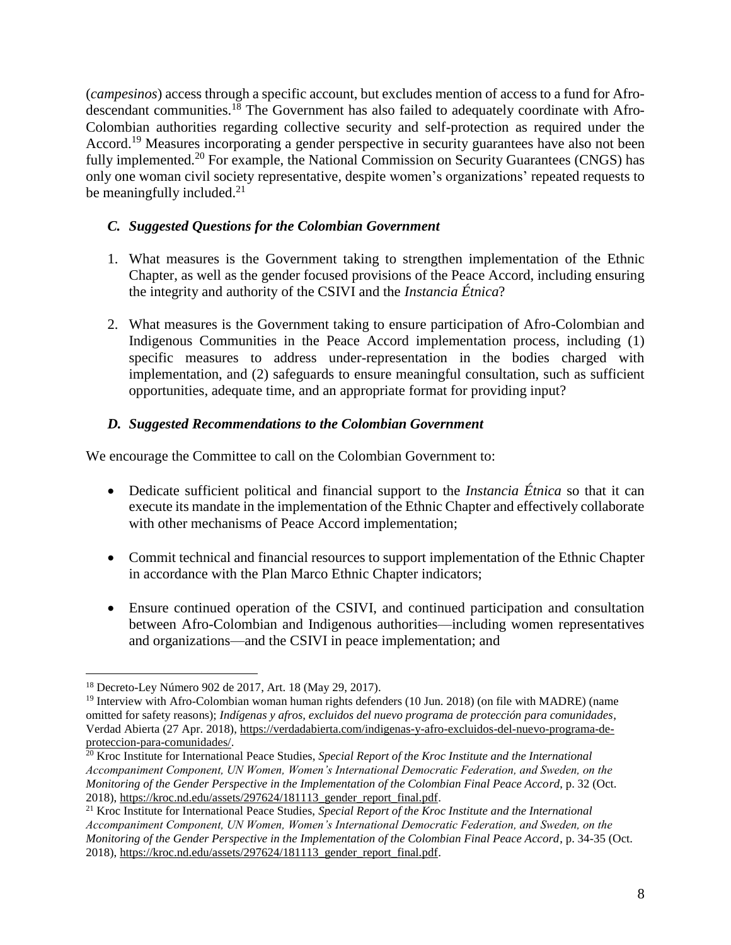(*campesinos*) access through a specific account, but excludes mention of access to a fund for Afrodescendant communities.<sup>18</sup> The Government has also failed to adequately coordinate with Afro-Colombian authorities regarding collective security and self-protection as required under the Accord.<sup>19</sup> Measures incorporating a gender perspective in security guarantees have also not been fully implemented.<sup>20</sup> For example, the National Commission on Security Guarantees (CNGS) has only one woman civil society representative, despite women's organizations' repeated requests to be meaningfully included.<sup>21</sup>

### <span id="page-7-0"></span>*C. Suggested Questions for the Colombian Government*

- 1. What measures is the Government taking to strengthen implementation of the Ethnic Chapter, as well as the gender focused provisions of the Peace Accord, including ensuring the integrity and authority of the CSIVI and the *Instancia Étnica*?
- 2. What measures is the Government taking to ensure participation of Afro-Colombian and Indigenous Communities in the Peace Accord implementation process, including (1) specific measures to address under-representation in the bodies charged with implementation, and (2) safeguards to ensure meaningful consultation, such as sufficient opportunities, adequate time, and an appropriate format for providing input?

### <span id="page-7-1"></span>*D. Suggested Recommendations to the Colombian Government*

We encourage the Committee to call on the Colombian Government to:

- Dedicate sufficient political and financial support to the *Instancia Étnica* so that it can execute its mandate in the implementation of the Ethnic Chapter and effectively collaborate with other mechanisms of Peace Accord implementation;
- Commit technical and financial resources to support implementation of the Ethnic Chapter in accordance with the Plan Marco Ethnic Chapter indicators;
- Ensure continued operation of the CSIVI, and continued participation and consultation between Afro-Colombian and Indigenous authorities—including women representatives and organizations—and the CSIVI in peace implementation; and

 $\overline{a}$ <sup>18</sup> Decreto-Ley Número 902 de 2017, Art. 18 (May 29, 2017).

<sup>&</sup>lt;sup>19</sup> Interview with Afro-Colombian woman human rights defenders (10 Jun. 2018) (on file with MADRE) (name omitted for safety reasons); *Indígenas y afros, excluidos del nuevo programa de protección para comunidades*, Verdad Abierta (27 Apr. 2018), [https://verdadabierta.com/indigenas-y-afro-excluidos-del-nuevo-programa-de](https://verdadabierta.com/indigenas-y-afro-excluidos-del-nuevo-programa-de-proteccion-para-comunidades/)[proteccion-para-comunidades/.](https://verdadabierta.com/indigenas-y-afro-excluidos-del-nuevo-programa-de-proteccion-para-comunidades/)

<sup>&</sup>lt;sup>20</sup> Kroc Institute for International Peace Studies, *Special Report of the Kroc Institute and the International Accompaniment Component, UN Women, Women's International Democratic Federation, and Sweden, on the Monitoring of the Gender Perspective in the Implementation of the Colombian Final Peace Accord*, p. 32 (Oct. 2018), [https://kroc.nd.edu/assets/297624/181113\\_gender\\_report\\_final.pdf.](https://kroc.nd.edu/assets/297624/181113_gender_report_final.pdf)

<sup>21</sup> Kroc Institute for International Peace Studies, *Special Report of the Kroc Institute and the International Accompaniment Component, UN Women, Women's International Democratic Federation, and Sweden, on the Monitoring of the Gender Perspective in the Implementation of the Colombian Final Peace Accord*, p. 34-35 (Oct. 2018), [https://kroc.nd.edu/assets/297624/181113\\_gender\\_report\\_final.pdf.](https://kroc.nd.edu/assets/297624/181113_gender_report_final.pdf)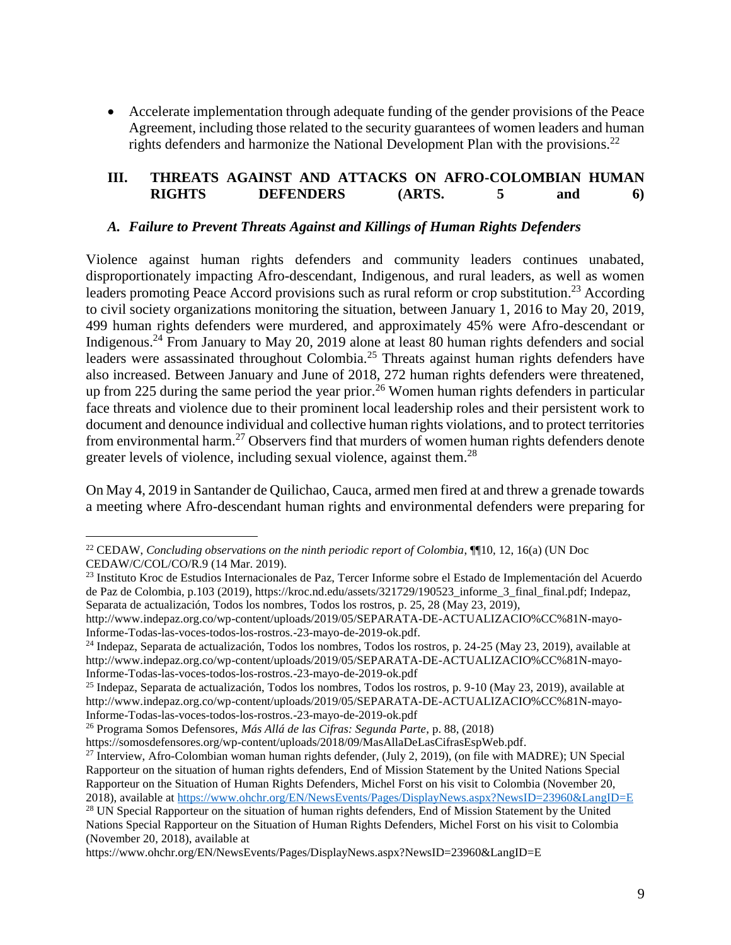Accelerate implementation through adequate funding of the gender provisions of the Peace Agreement, including those related to the security guarantees of women leaders and human rights defenders and harmonize the National Development Plan with the provisions.<sup>22</sup>

#### <span id="page-8-0"></span>**III. THREATS AGAINST AND ATTACKS ON AFRO-COLOMBIAN HUMAN RIGHTS DEFENDERS (ARTS. 5 and 6)**

#### <span id="page-8-1"></span>*A. Failure to Prevent Threats Against and Killings of Human Rights Defenders*

Violence against human rights defenders and community leaders continues unabated, disproportionately impacting Afro-descendant, Indigenous, and rural leaders, as well as women leaders promoting Peace Accord provisions such as rural reform or crop substitution.<sup>23</sup> According to civil society organizations monitoring the situation, between January 1, 2016 to May 20, 2019, 499 human rights defenders were murdered, and approximately 45% were Afro-descendant or Indigenous.<sup>24</sup> From January to May 20, 2019 alone at least 80 human rights defenders and social leaders were assassinated throughout Colombia.<sup>25</sup> Threats against human rights defenders have also increased. Between January and June of 2018, 272 human rights defenders were threatened, up from 225 during the same period the year prior.<sup>26</sup> Women human rights defenders in particular face threats and violence due to their prominent local leadership roles and their persistent work to document and denounce individual and collective human rights violations, and to protect territories from environmental harm.<sup>27</sup> Observers find that murders of women human rights defenders denote greater levels of violence, including sexual violence, against them.<sup>28</sup>

On May 4, 2019 in Santander de Quilichao, Cauca, armed men fired at and threw a grenade towards a meeting where Afro-descendant human rights and environmental defenders were preparing for

Nations Special Rapporteur on the Situation of Human Rights Defenders, Michel Forst on his visit to Colombia (November 20, 2018), available at

https://www.ohchr.org/EN/NewsEvents/Pages/DisplayNews.aspx?NewsID=23960&LangID=E

 $\overline{a}$ <sup>22</sup> CEDAW, *Concluding observations on the ninth periodic report of Colombia*, ¶¶10, 12, 16(a) (UN Doc CEDAW/C/COL/CO/R.9 (14 Mar. 2019).

<sup>23</sup> Instituto Kroc de Estudios Internacionales de Paz, Tercer Informe sobre el Estado de Implementación del Acuerdo de Paz de Colombia, p.103 (2019), https://kroc.nd.edu/assets/321729/190523\_informe\_3\_final\_final.pdf; Indepaz, Separata de actualización, Todos los nombres, Todos los rostros, p. 25, 28 (May 23, 2019),

http://www.indepaz.org.co/wp-content/uploads/2019/05/SEPARATA-DE-ACTUALIZACIO%CC%81N-mayo-Informe-Todas-las-voces-todos-los-rostros.-23-mayo-de-2019-ok.pdf.

<sup>24</sup> Indepaz, Separata de actualización, Todos los nombres, Todos los rostros, p. 24-25 (May 23, 2019), available at http://www.indepaz.org.co/wp-content/uploads/2019/05/SEPARATA-DE-ACTUALIZACIO%CC%81N-mayo-Informe-Todas-las-voces-todos-los-rostros.-23-mayo-de-2019-ok.pdf

<sup>25</sup> Indepaz, Separata de actualización, Todos los nombres, Todos los rostros, p. 9-10 (May 23, 2019), available at http://www.indepaz.org.co/wp-content/uploads/2019/05/SEPARATA-DE-ACTUALIZACIO%CC%81N-mayo-Informe-Todas-las-voces-todos-los-rostros.-23-mayo-de-2019-ok.pdf

<sup>26</sup> Programa Somos Defensores, *Más Allá de las Cifras: Segunda Parte*, p. 88, (2018)

https://somosdefensores.org/wp-content/uploads/2018/09/MasAllaDeLasCifrasEspWeb.pdf.

<sup>&</sup>lt;sup>27</sup> Interview, Afro-Colombian woman human rights defender, (July 2, 2019), (on file with MADRE); UN Special Rapporteur on the situation of human rights defenders, End of Mission Statement by the United Nations Special Rapporteur on the Situation of Human Rights Defenders, Michel Forst on his visit to Colombia (November 20, 2018), available a[t https://www.ohchr.org/EN/NewsEvents/Pages/DisplayNews.aspx?NewsID=23960&LangID=E](https://www.ohchr.org/EN/NewsEvents/Pages/DisplayNews.aspx?NewsID=23960&LangID=E) <sup>28</sup> UN Special Rapporteur on the situation of human rights defenders, End of Mission Statement by the United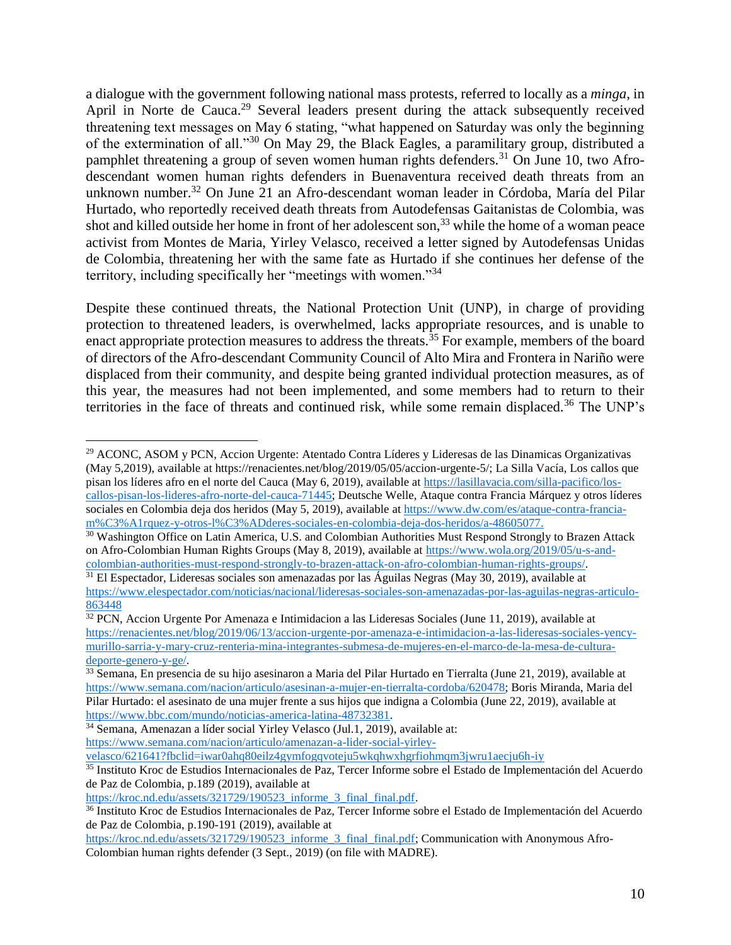a dialogue with the government following national mass protests, referred to locally as a *minga*, in April in Norte de Cauca.<sup>29</sup> Several leaders present during the attack subsequently received threatening text messages on May 6 stating, "what happened on Saturday was only the beginning of the extermination of all."<sup>30</sup> On May 29, the Black Eagles, a paramilitary group, distributed a pamphlet threatening a group of seven women human rights defenders.<sup>31</sup> On June 10, two Afrodescendant women human rights defenders in Buenaventura received death threats from an unknown number.<sup>32</sup> On June 21 an Afro-descendant woman leader in Córdoba, María del Pilar Hurtado, who reportedly received death threats from Autodefensas Gaitanistas de Colombia, was shot and killed outside her home in front of her adolescent son,  $33$  while the home of a woman peace activist from Montes de Maria, Yirley Velasco, received a letter signed by Autodefensas Unidas de Colombia, threatening her with the same fate as Hurtado if she continues her defense of the territory, including specifically her "meetings with women."<sup>34</sup>

Despite these continued threats, the National Protection Unit (UNP), in charge of providing protection to threatened leaders, is overwhelmed, lacks appropriate resources, and is unable to enact appropriate protection measures to address the threats.<sup>35</sup> For example, members of the board of directors of the Afro-descendant Community Council of Alto Mira and Frontera in Nariño were displaced from their community, and despite being granted individual protection measures, as of this year, the measures had not been implemented, and some members had to return to their territories in the face of threats and continued risk, while some remain displaced.<sup>36</sup> The UNP's

<sup>29</sup> ACONC, ASOM y PCN, Accion Urgente: Atentado Contra Líderes y Lideresas de las Dinamicas Organizativas (May 5,2019), available at https://renacientes.net/blog/2019/05/05/accion-urgente-5/; La Silla Vacía, Los callos que pisan los líderes afro en el norte del Cauca (May 6, 2019), available at [https://lasillavacia.com/silla-pacifico/los](https://lasillavacia.com/silla-pacifico/los-callos-pisan-los-lideres-afro-norte-del-cauca-71445)[callos-pisan-los-lideres-afro-norte-del-cauca-71445;](https://lasillavacia.com/silla-pacifico/los-callos-pisan-los-lideres-afro-norte-del-cauca-71445) Deutsche Welle, Ataque contra Francia Márquez y otros líderes sociales en Colombia deja dos heridos (May 5, 2019), available at [https://www.dw.com/es/ataque-contra-francia](https://www.dw.com/es/ataque-contra-francia-m%C3%A1rquez-y-otros-l%C3%ADderes-sociales-en-colombia-deja-dos-heridos/a-48605077)[m%C3%A1rquez-y-otros-l%C3%ADderes-sociales-en-colombia-deja-dos-heridos/a-48605077.](https://www.dw.com/es/ataque-contra-francia-m%C3%A1rquez-y-otros-l%C3%ADderes-sociales-en-colombia-deja-dos-heridos/a-48605077)

<sup>&</sup>lt;sup>30</sup> Washington Office on Latin America, U.S. and Colombian Authorities Must Respond Strongly to Brazen Attack on Afro-Colombian Human Rights Groups (May 8, 2019), available at [https://www.wola.org/2019/05/u-s-and](https://www.wola.org/2019/05/u-s-and-colombian-authorities-must-respond-strongly-to-brazen-attack-on-afro-colombian-human-rights-groups/)[colombian-authorities-must-respond-strongly-to-brazen-attack-on-afro-colombian-human-rights-groups/.](https://www.wola.org/2019/05/u-s-and-colombian-authorities-must-respond-strongly-to-brazen-attack-on-afro-colombian-human-rights-groups/)

<sup>31</sup> El Espectador, Lideresas sociales son amenazadas por las Águilas Negras (May 30, 2019), available at [https://www.elespectador.com/noticias/nacional/lideresas-sociales-son-amenazadas-por-las-aguilas-negras-articulo-](https://www.elespectador.com/noticias/nacional/lideresas-sociales-son-amenazadas-por-las-aguilas-negras-articulo-863448)[863448](https://www.elespectador.com/noticias/nacional/lideresas-sociales-son-amenazadas-por-las-aguilas-negras-articulo-863448)

 $32$  PCN, Accion Urgente Por Amenaza e Intimidacion a las Lideresas Sociales (June 11, 2019), available at [https://renacientes.net/blog/2019/06/13/accion-urgente-por-amenaza-e-intimidacion-a-las-lideresas-sociales-yency](https://renacientes.net/blog/2019/06/13/accion-urgente-por-amenaza-e-intimidacion-a-las-lideresas-sociales-yency-murillo-sarria-y-mary-cruz-renteria-mina-integrantes-submesa-de-mujeres-en-el-marco-de-la-mesa-de-cultura-deporte-genero-y-ge/)[murillo-sarria-y-mary-cruz-renteria-mina-integrantes-submesa-de-mujeres-en-el-marco-de-la-mesa-de-cultura](https://renacientes.net/blog/2019/06/13/accion-urgente-por-amenaza-e-intimidacion-a-las-lideresas-sociales-yency-murillo-sarria-y-mary-cruz-renteria-mina-integrantes-submesa-de-mujeres-en-el-marco-de-la-mesa-de-cultura-deporte-genero-y-ge/)[deporte-genero-y-ge/.](https://renacientes.net/blog/2019/06/13/accion-urgente-por-amenaza-e-intimidacion-a-las-lideresas-sociales-yency-murillo-sarria-y-mary-cruz-renteria-mina-integrantes-submesa-de-mujeres-en-el-marco-de-la-mesa-de-cultura-deporte-genero-y-ge/)

<sup>33</sup> Semana, En presencia de su hijo asesinaron a Maria del Pilar Hurtado en Tierralta (June 21, 2019), available at [https://www.semana.com/nacion/articulo/asesinan-a-mujer-en-tierralta-cordoba/620478;](https://www.semana.com/nacion/articulo/asesinan-a-mujer-en-tierralta-cordoba/620478) Boris Miranda, Maria del Pilar Hurtado: el asesinato de una mujer frente a sus hijos que indigna a Colombia (June 22, 2019), available at [https://www.bbc.com/mundo/noticias-america-latina-48732381.](https://www.bbc.com/mundo/noticias-america-latina-48732381)

<sup>34</sup> Semana, Amenazan a líder social Yirley Velasco (Jul.1, 2019), available at: [https://www.semana.com/nacion/articulo/amenazan-a-lider-social-yirley-](https://www.semana.com/nacion/articulo/amenazan-a-lider-social-yirley-velasco/621641?fbclid=iwar0ahq80eilz4gymfogqvoteju5wkqhwxhgrfiohmqm3jwru1aecju6h-iy)

[velasco/621641?fbclid=iwar0ahq80eilz4gymfogqvoteju5wkqhwxhgrfiohmqm3jwru1aecju6h-iy](https://www.semana.com/nacion/articulo/amenazan-a-lider-social-yirley-velasco/621641?fbclid=iwar0ahq80eilz4gymfogqvoteju5wkqhwxhgrfiohmqm3jwru1aecju6h-iy)

<sup>&</sup>lt;sup>35</sup> Instituto Kroc de Estudios Internacionales de Paz, Tercer Informe sobre el Estado de Implementación del Acuerdo de Paz de Colombia, p.189 (2019), available at

[https://kroc.nd.edu/assets/321729/190523\\_informe\\_3\\_final\\_final.pdf.](https://kroc.nd.edu/assets/321729/190523_informe_3_final_final.pdf)

<sup>36</sup> Instituto Kroc de Estudios Internacionales de Paz, Tercer Informe sobre el Estado de Implementación del Acuerdo de Paz de Colombia, p.190-191 (2019), available at

[https://kroc.nd.edu/assets/321729/190523\\_informe\\_3\\_final\\_final.pdf;](https://kroc.nd.edu/assets/321729/190523_informe_3_final_final.pdf) Communication with Anonymous Afro-Colombian human rights defender (3 Sept., 2019) (on file with MADRE).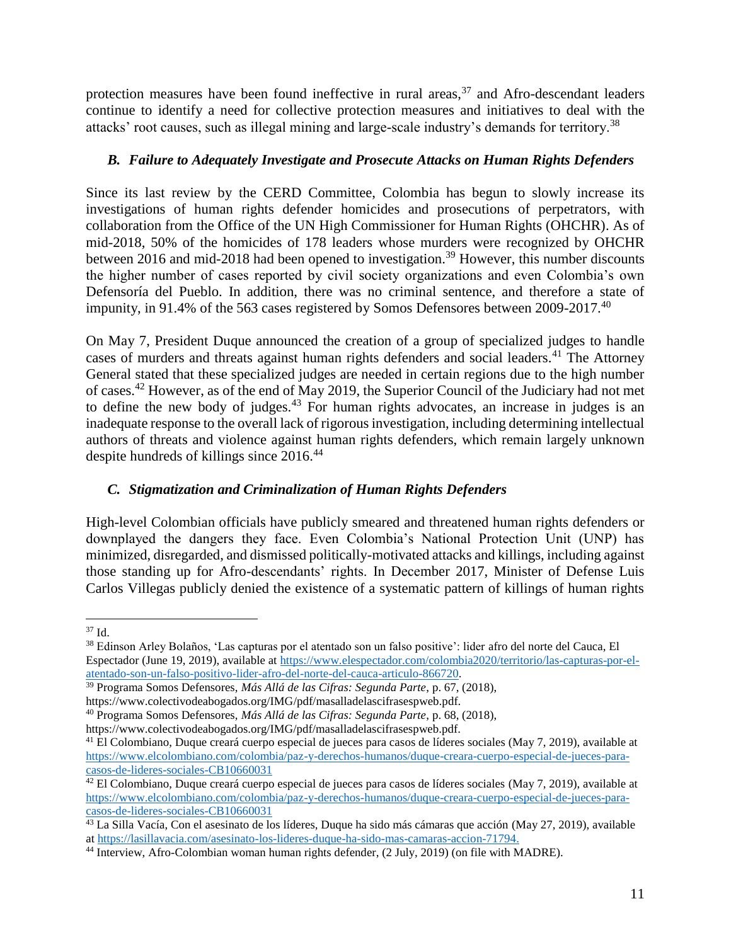protection measures have been found ineffective in rural areas,  $37$  and Afro-descendant leaders continue to identify a need for collective protection measures and initiatives to deal with the attacks' root causes, such as illegal mining and large-scale industry's demands for territory.<sup>38</sup>

### <span id="page-10-0"></span>*B. Failure to Adequately Investigate and Prosecute Attacks on Human Rights Defenders*

Since its last review by the CERD Committee, Colombia has begun to slowly increase its investigations of human rights defender homicides and prosecutions of perpetrators, with collaboration from the Office of the UN High Commissioner for Human Rights (OHCHR). As of mid-2018, 50% of the homicides of 178 leaders whose murders were recognized by OHCHR between 2016 and mid-2018 had been opened to investigation.<sup>39</sup> However, this number discounts the higher number of cases reported by civil society organizations and even Colombia's own Defensoría del Pueblo. In addition, there was no criminal sentence, and therefore a state of impunity, in 91.4% of the 563 cases registered by Somos Defensores between 2009-2017.<sup>40</sup>

On May 7, President Duque announced the creation of a group of specialized judges to handle cases of murders and threats against human rights defenders and social leaders.<sup>41</sup> The Attorney General stated that these specialized judges are needed in certain regions due to the high number of cases.<sup>42</sup> However, as of the end of May 2019, the Superior Council of the Judiciary had not met to define the new body of judges.<sup>43</sup> For human rights advocates, an increase in judges is an inadequate response to the overall lack of rigorous investigation, including determining intellectual authors of threats and violence against human rights defenders, which remain largely unknown despite hundreds of killings since 2016.<sup>44</sup>

### <span id="page-10-1"></span>*C. Stigmatization and Criminalization of Human Rights Defenders*

High-level Colombian officials have publicly smeared and threatened human rights defenders or downplayed the dangers they face. Even Colombia's National Protection Unit (UNP) has minimized, disregarded, and dismissed politically-motivated attacks and killings, including against those standing up for Afro-descendants' rights. In December 2017, Minister of Defense Luis Carlos Villegas publicly denied the existence of a systematic pattern of killings of human rights

<sup>37</sup> Id.

<sup>38</sup> Edinson Arley Bolaños, 'Las capturas por el atentado son un falso positive': lider afro del norte del Cauca, El Espectador (June 19, 2019), available a[t https://www.elespectador.com/colombia2020/territorio/las-capturas-por-el](https://www.elespectador.com/colombia2020/territorio/las-capturas-por-el-atentado-son-un-falso-positivo-lider-afro-del-norte-del-cauca-articulo-866720)[atentado-son-un-falso-positivo-lider-afro-del-norte-del-cauca-articulo-866720.](https://www.elespectador.com/colombia2020/territorio/las-capturas-por-el-atentado-son-un-falso-positivo-lider-afro-del-norte-del-cauca-articulo-866720)

<sup>39</sup> Programa Somos Defensores, *Más Allá de las Cifras: Segunda Parte*, p. 67, (2018), https://www.colectivodeabogados.org/IMG/pdf/masalladelascifrasespweb.pdf.

<sup>40</sup> Programa Somos Defensores, *Más Allá de las Cifras: Segunda Parte*, p. 68, (2018),

https://www.colectivodeabogados.org/IMG/pdf/masalladelascifrasespweb.pdf.

<sup>41</sup> El Colombiano, Duque creará cuerpo especial de jueces para casos de líderes sociales (May 7, 2019), available at [https://www.elcolombiano.com/colombia/paz-y-derechos-humanos/duque-creara-cuerpo-especial-de-jueces-para](https://www.elcolombiano.com/colombia/paz-y-derechos-humanos/duque-creara-cuerpo-especial-de-jueces-para-casos-de-lideres-sociales-CB10660031)[casos-de-lideres-sociales-CB10660031](https://www.elcolombiano.com/colombia/paz-y-derechos-humanos/duque-creara-cuerpo-especial-de-jueces-para-casos-de-lideres-sociales-CB10660031)

 $42$  El Colombiano, Duque creará cuerpo especial de jueces para casos de líderes sociales (May 7, 2019), available at [https://www.elcolombiano.com/colombia/paz-y-derechos-humanos/duque-creara-cuerpo-especial-de-jueces-para](https://www.elcolombiano.com/colombia/paz-y-derechos-humanos/duque-creara-cuerpo-especial-de-jueces-para-casos-de-lideres-sociales-CB10660031)[casos-de-lideres-sociales-CB10660031](https://www.elcolombiano.com/colombia/paz-y-derechos-humanos/duque-creara-cuerpo-especial-de-jueces-para-casos-de-lideres-sociales-CB10660031)

<sup>43</sup> La Silla Vacía, Con el asesinato de los líderes, Duque ha sido más cámaras que acción (May 27, 2019), available a[t https://lasillavacia.com/asesinato-los-lideres-duque-ha-sido-mas-camaras-accion-71794.](https://lasillavacia.com/asesinato-los-lideres-duque-ha-sido-mas-camaras-accion-71794)

<sup>44</sup> Interview, Afro-Colombian woman human rights defender, (2 July, 2019) (on file with MADRE).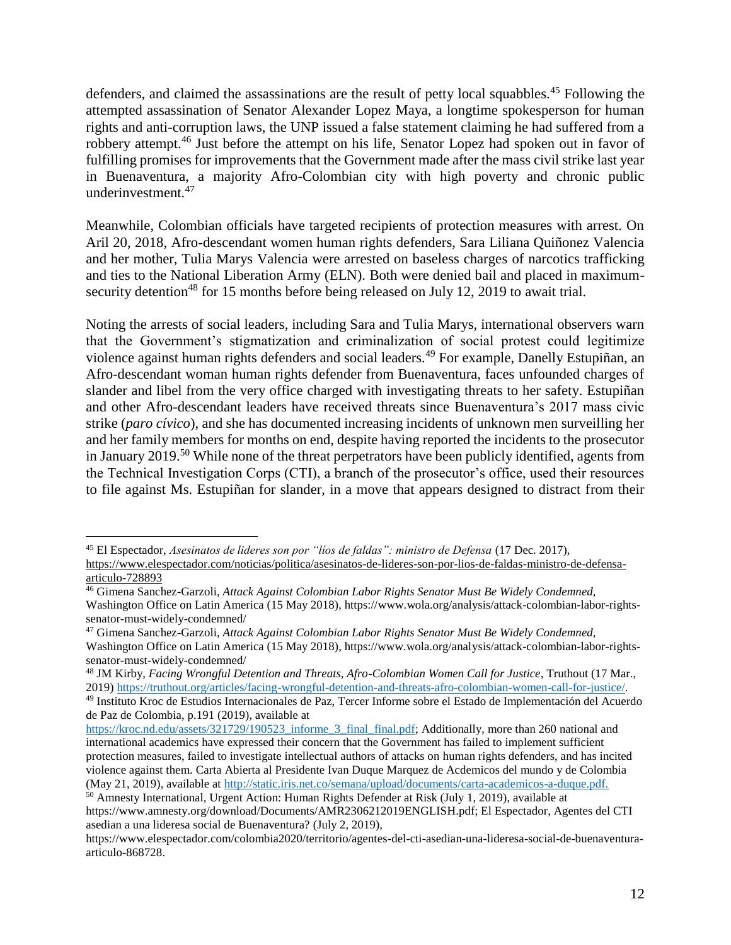defenders, and claimed the assassinations are the result of petty local squabbles.<sup>45</sup> Following the attempted assassination of Senator Alexander Lopez Maya, a longtime spokesperson for human rights and anti-corruption laws, the UNP issued a false statement claiming he had suffered from a robbery attempt.<sup>46</sup> Just before the attempt on his life, Senator Lopez had spoken out in favor of fulfilling promises for improvements that the Government made after the mass civil strike last year in Buenaventura, a majority Afro-Colombian city with high poverty and chronic public underinvestment.<sup>47</sup>

Meanwhile, Colombian officials have targeted recipients of protection measures with arrest. On Aril 20, 2018, Afro-descendant women human rights defenders, Sara Liliana Quiñonez Valencia and her mother, Tulia Marys Valencia were arrested on baseless charges of narcotics trafficking and ties to the National Liberation Army (ELN). Both were denied bail and placed in maximumsecurity detention<sup>48</sup> for 15 months before being released on July 12, 2019 to await trial.

Noting the arrests of social leaders, including Sara and Tulia Marys, international observers warn that the Government's stigmatization and criminalization of social protest could legitimize violence against human rights defenders and social leaders.<sup>49</sup> For example, Danelly Estupiñan, an Afro-descendant woman human rights defender from Buenaventura, faces unfounded charges of slander and libel from the very office charged with investigating threats to her safety. Estupiñan and other Afro-descendant leaders have received threats since Buenaventura's 2017 mass civic strike (*paro cívico*), and she has documented increasing incidents of unknown men surveilling her and her family members for months on end, despite having reported the incidents to the prosecutor in January 2019.<sup>50</sup> While none of the threat perpetrators have been publicly identified, agents from the Technical Investigation Corps (CTI), a branch of the prosecutor's office, used their resources to file against Ms. Estupiñan for slander, in a move that appears designed to distract from their

<sup>45</sup> El Espectador, *Asesinatos de lideres son por "líos de faldas": ministro de Defensa* (17 Dec. 2017), [https://www.elespectador.com/noticias/politica/asesinatos-de-lideres-son-por-lios-de-faldas-ministro-de-defensa](https://www.elespectador.com/noticias/politica/asesinatos-de-lideres-son-por-lios-de-faldas-ministro-de-defensa-articulo-728893)[articulo-728893](https://www.elespectador.com/noticias/politica/asesinatos-de-lideres-son-por-lios-de-faldas-ministro-de-defensa-articulo-728893)

<sup>46</sup> Gimena Sanchez-Garzoli, *Attack Against Colombian Labor Rights Senator Must Be Widely Condemned,*  Washington Office on Latin America (15 May 2018), https://www.wola.org/analysis/attack-colombian-labor-rightssenator-must-widely-condemned/

<sup>47</sup> Gimena Sanchez-Garzoli, *Attack Against Colombian Labor Rights Senator Must Be Widely Condemned,*  Washington Office on Latin America (15 May 2018), https://www.wola.org/analysis/attack-colombian-labor-rightssenator-must-widely-condemned/

<sup>48</sup> JM Kirby, *Facing Wrongful Detention and Threats, Afro-Colombian Women Call for Justice*, Truthout (17 Mar., 2019) [https://truthout.org/articles/facing-wrongful-detention-and-threats-afro-colombian-women-call-for-justice/.](https://truthout.org/articles/facing-wrongful-detention-and-threats-afro-colombian-women-call-for-justice/)

<sup>49</sup> Instituto Kroc de Estudios Internacionales de Paz, Tercer Informe sobre el Estado de Implementación del Acuerdo de Paz de Colombia, p.191 (2019), available at

[https://kroc.nd.edu/assets/321729/190523\\_informe\\_3\\_final\\_final.pdf;](https://kroc.nd.edu/assets/321729/190523_informe_3_final_final.pdf) Additionally, more than 260 national and international academics have expressed their concern that the Government has failed to implement sufficient protection measures, failed to investigate intellectual authors of attacks on human rights defenders, and has incited violence against them. Carta Abierta al Presidente Ivan Duque Marquez de Acdemicos del mundo y de Colombia (May 21, 2019), available at [http://static.iris.net.co/semana/upload/documents/carta-academicos-a-duque.pdf.](http://static.iris.net.co/semana/upload/documents/carta-academicos-a-duque.pdf)

<sup>50</sup> Amnesty International, Urgent Action: Human Rights Defender at Risk (July 1, 2019), available at https://www.amnesty.org/download/Documents/AMR2306212019ENGLISH.pdf; El Espectador, Agentes del CTI asedian a una lideresa social de Buenaventura? (July 2, 2019),

https://www.elespectador.com/colombia2020/territorio/agentes-del-cti-asedian-una-lideresa-social-de-buenaventuraarticulo-868728.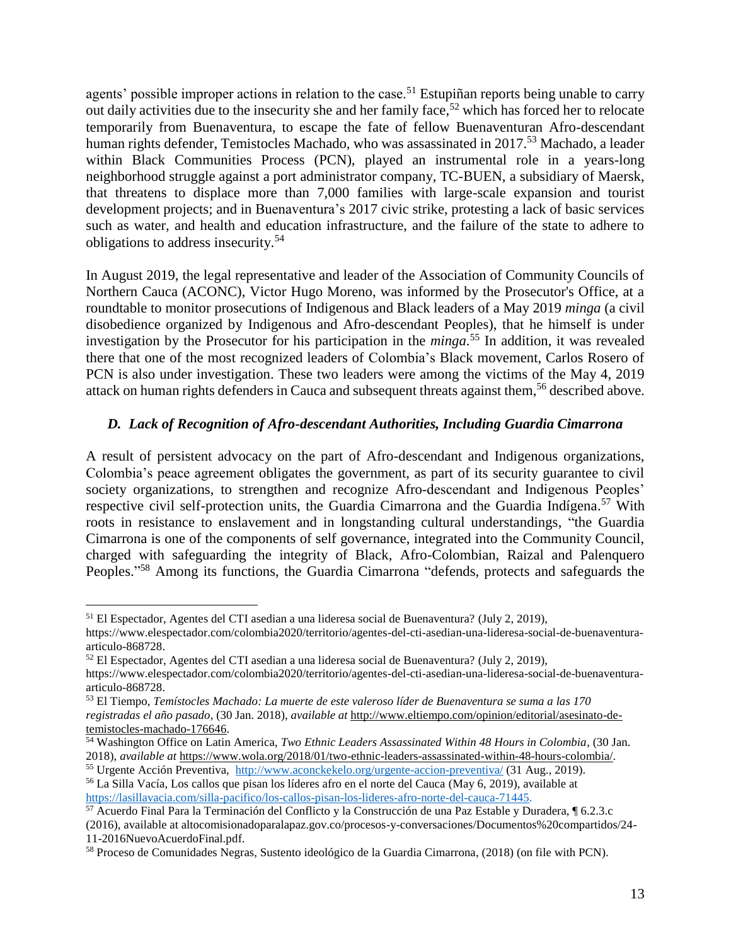agents' possible improper actions in relation to the case.<sup>51</sup> Estupiñan reports being unable to carry out daily activities due to the insecurity she and her family face,<sup>52</sup> which has forced her to relocate temporarily from Buenaventura, to escape the fate of fellow Buenaventuran Afro-descendant human rights defender, Temistocles Machado, who was assassinated in 2017.<sup>53</sup> Machado, a leader within Black Communities Process (PCN), played an instrumental role in a years-long neighborhood struggle against a port administrator company, TC-BUEN, a subsidiary of Maersk, that threatens to displace more than 7,000 families with large-scale expansion and tourist development projects; and in Buenaventura's 2017 civic strike, protesting a lack of basic services such as water, and health and education infrastructure, and the failure of the state to adhere to obligations to address insecurity.<sup>54</sup>

In August 2019, the legal representative and leader of the Association of Community Councils of Northern Cauca (ACONC), Victor Hugo Moreno, was informed by the Prosecutor's Office, at a roundtable to monitor prosecutions of Indigenous and Black leaders of a May 2019 *minga* (a civil disobedience organized by Indigenous and Afro-descendant Peoples), that he himself is under investigation by the Prosecutor for his participation in the *minga*. <sup>55</sup> In addition, it was revealed there that one of the most recognized leaders of Colombia's Black movement, Carlos Rosero of PCN is also under investigation. These two leaders were among the victims of the May 4, 2019 attack on human rights defenders in Cauca and subsequent threats against them, <sup>56</sup> described above.

### <span id="page-12-0"></span>*D. Lack of Recognition of Afro-descendant Authorities, Including Guardia Cimarrona*

A result of persistent advocacy on the part of Afro-descendant and Indigenous organizations, Colombia's peace agreement obligates the government, as part of its security guarantee to civil society organizations, to strengthen and recognize Afro-descendant and Indigenous Peoples' respective civil self-protection units, the Guardia Cimarrona and the Guardia Indígena.<sup>57</sup> With roots in resistance to enslavement and in longstanding cultural understandings, "the Guardia Cimarrona is one of the components of self governance, integrated into the Community Council, charged with safeguarding the integrity of Black, Afro-Colombian, Raizal and Palenquero Peoples."<sup>58</sup> Among its functions, the Guardia Cimarrona "defends, protects and safeguards the

<sup>51</sup> El Espectador, Agentes del CTI asedian a una lideresa social de Buenaventura? (July 2, 2019),

https://www.elespectador.com/colombia2020/territorio/agentes-del-cti-asedian-una-lideresa-social-de-buenaventuraarticulo-868728.

<sup>52</sup> El Espectador, Agentes del CTI asedian a una lideresa social de Buenaventura? (July 2, 2019),

https://www.elespectador.com/colombia2020/territorio/agentes-del-cti-asedian-una-lideresa-social-de-buenaventuraarticulo-868728.

<sup>53</sup> El Tiempo, *Temístocles Machado: La muerte de este valeroso líder de Buenaventura se suma a las 170 registradas el año pasado*, (30 Jan. 2018), *available at* [http://www.eltiempo.com/opinion/editorial/asesinato-de](http://www.eltiempo.com/opinion/editorial/asesinato-de-temistocles-machado-176646)[temistocles-machado-176646.](http://www.eltiempo.com/opinion/editorial/asesinato-de-temistocles-machado-176646)

<sup>54</sup> Washington Office on Latin America, *Two Ethnic Leaders Assassinated Within 48 Hours in Colombia*, (30 Jan. 2018), *available at* [https://www.wola.org/2018/01/two-ethnic-leaders-assassinated-within-48-hours-colombia/.](https://www.wola.org/2018/01/two-ethnic-leaders-assassinated-within-48-hours-colombia/)

<sup>55</sup> Urgente Acción Preventiva, <http://www.aconckekelo.org/urgente-accion-preventiva/> (31 Aug., 2019). <sup>56</sup> La Silla Vacía, Los callos que pisan los líderes afro en el norte del Cauca (May 6, 2019), available at

[https://lasillavacia.com/silla-pacifico/los-callos-pisan-los-lideres-afro-norte-del-cauca-71445.](https://lasillavacia.com/silla-pacifico/los-callos-pisan-los-lideres-afro-norte-del-cauca-71445) <sup>57</sup> Acuerdo Final Para la Terminación del Conflicto y la Construcción de una Paz Estable y Duradera, ¶ 6.2.3.c

<sup>(2016),</sup> available at altocomisionadoparalapaz.gov.co/procesos-y-conversaciones/Documentos%20compartidos/24- 11-2016NuevoAcuerdoFinal.pdf.

<sup>58</sup> Proceso de Comunidades Negras, Sustento ideológico de la Guardia Cimarrona, (2018) (on file with PCN).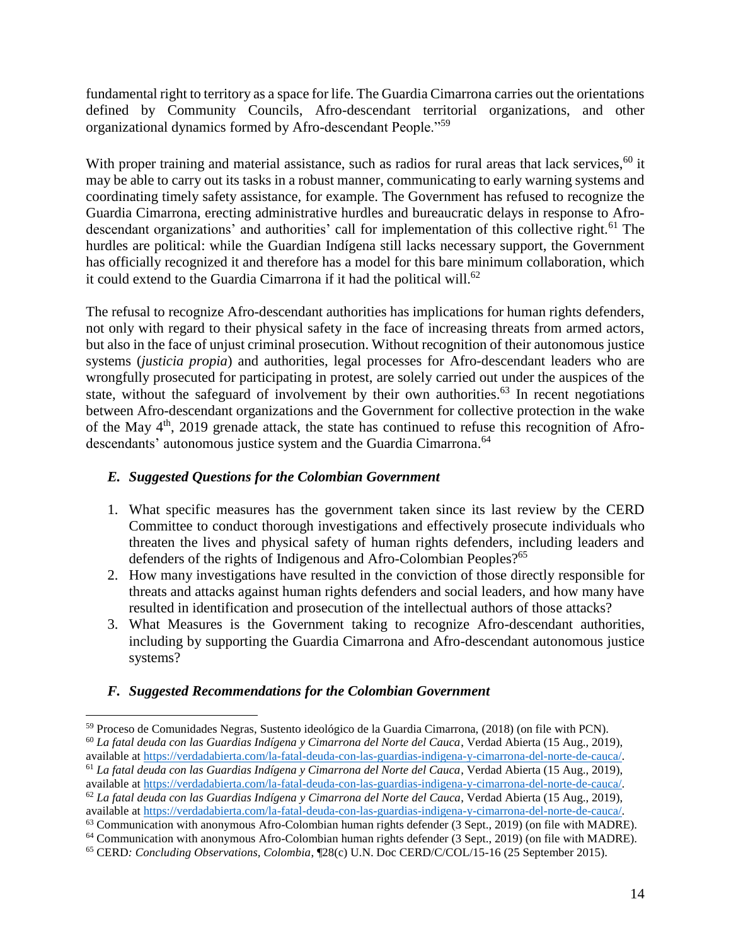fundamental right to territory as a space for life. The Guardia Cimarrona carries out the orientations defined by Community Councils, Afro-descendant territorial organizations, and other organizational dynamics formed by Afro-descendant People."<sup>59</sup>

With proper training and material assistance, such as radios for rural areas that lack services,<sup>60</sup> it may be able to carry out its tasks in a robust manner, communicating to early warning systems and coordinating timely safety assistance, for example. The Government has refused to recognize the Guardia Cimarrona, erecting administrative hurdles and bureaucratic delays in response to Afrodescendant organizations' and authorities' call for implementation of this collective right.<sup>61</sup> The hurdles are political: while the Guardian Indígena still lacks necessary support, the Government has officially recognized it and therefore has a model for this bare minimum collaboration, which it could extend to the Guardia Cimarrona if it had the political will.<sup>62</sup>

The refusal to recognize Afro-descendant authorities has implications for human rights defenders, not only with regard to their physical safety in the face of increasing threats from armed actors, but also in the face of unjust criminal prosecution. Without recognition of their autonomous justice systems (*justicia propia*) and authorities, legal processes for Afro-descendant leaders who are wrongfully prosecuted for participating in protest, are solely carried out under the auspices of the state, without the safeguard of involvement by their own authorities.<sup>63</sup> In recent negotiations between Afro-descendant organizations and the Government for collective protection in the wake of the May  $4<sup>th</sup>$ , 2019 grenade attack, the state has continued to refuse this recognition of Afrodescendants' autonomous justice system and the Guardia Cimarrona.<sup>64</sup>

### <span id="page-13-0"></span>*E. Suggested Questions for the Colombian Government*

- 1. What specific measures has the government taken since its last review by the CERD Committee to conduct thorough investigations and effectively prosecute individuals who threaten the lives and physical safety of human rights defenders, including leaders and defenders of the rights of Indigenous and Afro-Colombian Peoples? 65
- 2. How many investigations have resulted in the conviction of those directly responsible for threats and attacks against human rights defenders and social leaders, and how many have resulted in identification and prosecution of the intellectual authors of those attacks?
- 3. What Measures is the Government taking to recognize Afro-descendant authorities, including by supporting the Guardia Cimarrona and Afro-descendant autonomous justice systems?

### <span id="page-13-1"></span>*F. Suggested Recommendations for the Colombian Government*

 $\overline{a}$ <sup>59</sup> Proceso de Comunidades Negras, Sustento ideológico de la Guardia Cimarrona, (2018) (on file with PCN). <sup>60</sup> *La fatal deuda con las Guardias Indígena y Cimarrona del Norte del Cauca*, Verdad Abierta (15 Aug., 2019), available at [https://verdadabierta.com/la-fatal-deuda-con-las-guardias-indigena-y-cimarrona-del-norte-de-cauca/.](https://verdadabierta.com/la-fatal-deuda-con-las-guardias-indigena-y-cimarrona-del-norte-de-cauca/)

<sup>61</sup> *La fatal deuda con las Guardias Indígena y Cimarrona del Norte del Cauca*, Verdad Abierta (15 Aug., 2019), available at [https://verdadabierta.com/la-fatal-deuda-con-las-guardias-indigena-y-cimarrona-del-norte-de-cauca/.](https://verdadabierta.com/la-fatal-deuda-con-las-guardias-indigena-y-cimarrona-del-norte-de-cauca/)

<sup>62</sup> *La fatal deuda con las Guardias Indígena y Cimarrona del Norte del Cauca*, Verdad Abierta (15 Aug., 2019), available at [https://verdadabierta.com/la-fatal-deuda-con-las-guardias-indigena-y-cimarrona-del-norte-de-cauca/.](https://verdadabierta.com/la-fatal-deuda-con-las-guardias-indigena-y-cimarrona-del-norte-de-cauca/)

<sup>63</sup> Communication with anonymous Afro-Colombian human rights defender (3 Sept., 2019) (on file with MADRE).

<sup>64</sup> Communication with anonymous Afro-Colombian human rights defender (3 Sept., 2019) (on file with MADRE).

<sup>65</sup> CERD*: Concluding Observations, Colombia*, ¶28(c) U.N. Doc CERD/C/COL/15-16 (25 September 2015).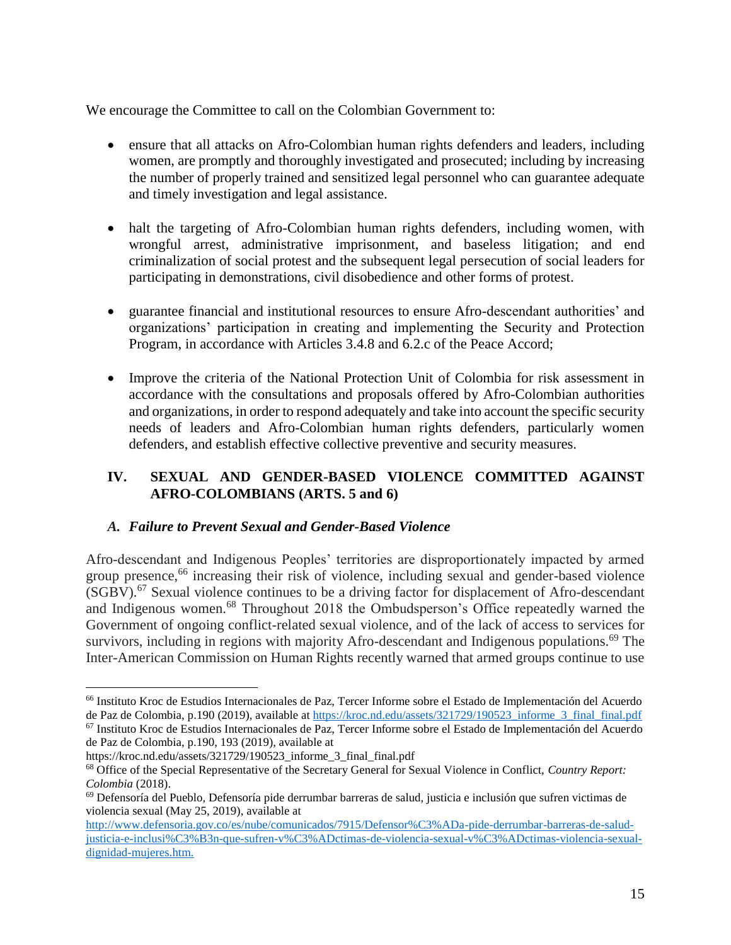We encourage the Committee to call on the Colombian Government to:

- ensure that all attacks on Afro-Colombian human rights defenders and leaders, including women, are promptly and thoroughly investigated and prosecuted; including by increasing the number of properly trained and sensitized legal personnel who can guarantee adequate and timely investigation and legal assistance.
- halt the targeting of Afro-Colombian human rights defenders, including women, with wrongful arrest, administrative imprisonment, and baseless litigation; and end criminalization of social protest and the subsequent legal persecution of social leaders for participating in demonstrations, civil disobedience and other forms of protest.
- guarantee financial and institutional resources to ensure Afro-descendant authorities' and organizations' participation in creating and implementing the Security and Protection Program, in accordance with Articles 3.4.8 and 6.2.c of the Peace Accord;
- Improve the criteria of the National Protection Unit of Colombia for risk assessment in accordance with the consultations and proposals offered by Afro-Colombian authorities and organizations, in order to respond adequately and take into account the specific security needs of leaders and Afro-Colombian human rights defenders, particularly women defenders, and establish effective collective preventive and security measures.

### <span id="page-14-0"></span>**IV. SEXUAL AND GENDER-BASED VIOLENCE COMMITTED AGAINST AFRO-COLOMBIANS (ARTS. 5 and 6)**

### <span id="page-14-1"></span>*A. Failure to Prevent Sexual and Gender-Based Violence*

Afro-descendant and Indigenous Peoples' territories are disproportionately impacted by armed group presence,<sup>66</sup> increasing their risk of violence, including sexual and gender-based violence  $(SGBV).<sup>67</sup>$  Sexual violence continues to be a driving factor for displacement of Afro-descendant and Indigenous women.<sup>68</sup> Throughout 2018 the Ombudsperson's Office repeatedly warned the Government of ongoing conflict-related sexual violence, and of the lack of access to services for survivors, including in regions with majority Afro-descendant and Indigenous populations.<sup>69</sup> The Inter-American Commission on Human Rights recently warned that armed groups continue to use

<sup>66</sup> Instituto Kroc de Estudios Internacionales de Paz, Tercer Informe sobre el Estado de Implementación del Acuerdo de Paz de Colombia, p.190 (2019), available at [https://kroc.nd.edu/assets/321729/190523\\_informe\\_3\\_final\\_final.pdf](https://kroc.nd.edu/assets/321729/190523_informe_3_final_final.pdf)

<sup>67</sup> Instituto Kroc de Estudios Internacionales de Paz, Tercer Informe sobre el Estado de Implementación del Acuerdo de Paz de Colombia, p.190, 193 (2019), available at

https://kroc.nd.edu/assets/321729/190523\_informe\_3\_final\_final.pdf

<sup>68</sup> Office of the Special Representative of the Secretary General for Sexual Violence in Conflict, *Country Report: Colombia* (2018).

 $69$  Defensoría del Pueblo, Defensoría pide derrumbar barreras de salud, justicia e inclusión que sufren victimas de violencia sexual (May 25, 2019), available at

[http://www.defensoria.gov.co/es/nube/comunicados/7915/Defensor%C3%ADa-pide-derrumbar-barreras-de-salud](http://www.defensoria.gov.co/es/nube/comunicados/7915/Defensor%C3%ADa-pide-derrumbar-barreras-de-salud-justicia-e-inclusi%C3%B3n-que-sufren-v%C3%ADctimas-de-violencia-sexual-v%C3%ADctimas-violencia-sexual-dignidad-mujeres.htm)[justicia-e-inclusi%C3%B3n-que-sufren-v%C3%ADctimas-de-violencia-sexual-v%C3%ADctimas-violencia-sexual](http://www.defensoria.gov.co/es/nube/comunicados/7915/Defensor%C3%ADa-pide-derrumbar-barreras-de-salud-justicia-e-inclusi%C3%B3n-que-sufren-v%C3%ADctimas-de-violencia-sexual-v%C3%ADctimas-violencia-sexual-dignidad-mujeres.htm)[dignidad-mujeres.htm.](http://www.defensoria.gov.co/es/nube/comunicados/7915/Defensor%C3%ADa-pide-derrumbar-barreras-de-salud-justicia-e-inclusi%C3%B3n-que-sufren-v%C3%ADctimas-de-violencia-sexual-v%C3%ADctimas-violencia-sexual-dignidad-mujeres.htm)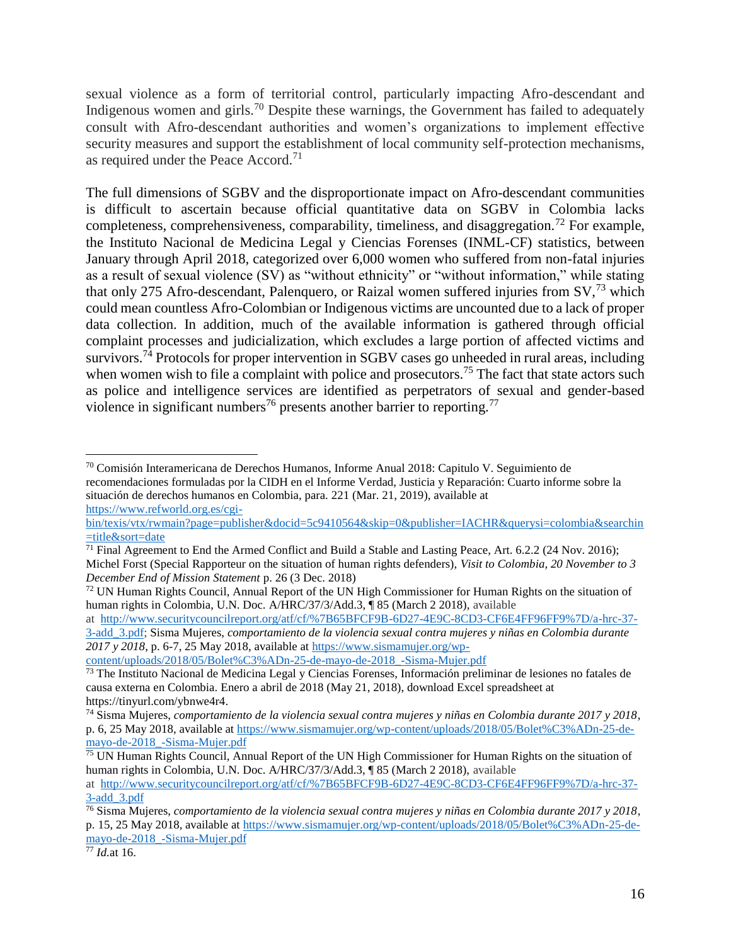sexual violence as a form of territorial control, particularly impacting Afro-descendant and Indigenous women and girls.<sup>70</sup> Despite these warnings, the Government has failed to adequately consult with Afro-descendant authorities and women's organizations to implement effective security measures and support the establishment of local community self-protection mechanisms, as required under the Peace Accord.<sup>71</sup>

The full dimensions of SGBV and the disproportionate impact on Afro-descendant communities is difficult to ascertain because official quantitative data on SGBV in Colombia lacks completeness, comprehensiveness, comparability, timeliness, and disaggregation.<sup>72</sup> For example, the Instituto Nacional de Medicina Legal y Ciencias Forenses (INML-CF) statistics, between January through April 2018, categorized over 6,000 women who suffered from non-fatal injuries as a result of sexual violence (SV) as "without ethnicity" or "without information," while stating that only 275 Afro-descendant, Palenquero, or Raizal women suffered injuries from  $SV<sub>1</sub><sup>73</sup>$  which could mean countless Afro-Colombian or Indigenous victims are uncounted due to a lack of proper data collection. In addition, much of the available information is gathered through official complaint processes and judicialization, which excludes a large portion of affected victims and survivors.<sup>74</sup> Protocols for proper intervention in SGBV cases go unheeded in rural areas, including when women wish to file a complaint with police and prosecutors.<sup>75</sup> The fact that state actors such as police and intelligence services are identified as perpetrators of sexual and gender-based violence in significant numbers<sup>76</sup> presents another barrier to reporting.<sup>77</sup>

[content/uploads/2018/05/Bolet%C3%ADn-25-de-mayo-de-2018\\_-Sisma-Mujer.pdf](https://www.sismamujer.org/wp-content/uploads/2018/05/Bolet%C3%ADn-25-de-mayo-de-2018_-Sisma-Mujer.pdf)

<sup>70</sup> Comisión Interamericana de Derechos Humanos, Informe Anual 2018: Capitulo V. Seguimiento de recomendaciones formuladas por la CIDH en el Informe Verdad, Justicia y Reparación: Cuarto informe sobre la situación de derechos humanos en Colombia, para. 221 (Mar. 21, 2019), available at [https://www.refworld.org.es/cgi-](https://www.refworld.org.es/cgi-bin/texis/vtx/rwmain?page=publisher&docid=5c9410564&skip=0&publisher=IACHR&querysi=colombia&searchin=title&sort=date)

[bin/texis/vtx/rwmain?page=publisher&docid=5c9410564&skip=0&publisher=IACHR&querysi=colombia&searchin](https://www.refworld.org.es/cgi-bin/texis/vtx/rwmain?page=publisher&docid=5c9410564&skip=0&publisher=IACHR&querysi=colombia&searchin=title&sort=date) [=title&sort=date](https://www.refworld.org.es/cgi-bin/texis/vtx/rwmain?page=publisher&docid=5c9410564&skip=0&publisher=IACHR&querysi=colombia&searchin=title&sort=date)

 $\frac{71 \text{ Final Agreement}}{71 \text{ Final Agreement}}$  to End the Armed Conflict and Build a Stable and Lasting Peace, Art. 6.2.2 (24 Nov. 2016); Michel Forst (Special Rapporteur on the situation of human rights defenders), *Visit to Colombia, 20 November to 3 December End of Mission Statement* p. 26 (3 Dec. 2018)

<sup>&</sup>lt;sup>72</sup> UN Human Rights Council, Annual Report of the UN High Commissioner for Human Rights on the situation of human rights in Colombia, U.N. Doc. A/HRC/37/3/Add.3, ¶ 85 (March 2 2018), available

at [http://www.securitycouncilreport.org/atf/cf/%7B65BFCF9B-6D27-4E9C-8CD3-CF6E4FF96FF9%7D/a-hrc-37-](http://www.securitycouncilreport.org/atf/cf/%7B65BFCF9B-6D27-4E9C-8CD3-CF6E4FF96FF9%7D/a-hrc-37-3-add_3.pdf) [3-add\\_3.pdf;](http://www.securitycouncilreport.org/atf/cf/%7B65BFCF9B-6D27-4E9C-8CD3-CF6E4FF96FF9%7D/a-hrc-37-3-add_3.pdf) Sisma Mujeres, *comportamiento de la violencia sexual contra mujeres y niñas en Colombia durante 2017 y 2018*, p. 6-7, 25 May 2018, available at [https://www.sismamujer.org/wp-](https://www.sismamujer.org/wp-content/uploads/2018/05/Bolet%C3%ADn-25-de-mayo-de-2018_-Sisma-Mujer.pdf)

 $\frac{73}{12}$  The Instituto Nacional de Medicina Legal y Ciencias Forenses, Información preliminar de lesiones no fatales de causa externa en Colombia. Enero a abril de 2018 (May 21, 2018), download Excel spreadsheet at https://tinyurl.com/ybnwe4r4.

<sup>74</sup> Sisma Mujeres, *comportamiento de la violencia sexual contra mujeres y niñas en Colombia durante 2017 y 2018*, p. 6, 25 May 2018, available at [https://www.sismamujer.org/wp-content/uploads/2018/05/Bolet%C3%ADn-25-de](https://www.sismamujer.org/wp-content/uploads/2018/05/Bolet%C3%ADn-25-de-mayo-de-2018_-Sisma-Mujer.pdf)[mayo-de-2018\\_-Sisma-Mujer.pdf](https://www.sismamujer.org/wp-content/uploads/2018/05/Bolet%C3%ADn-25-de-mayo-de-2018_-Sisma-Mujer.pdf)

 $75$  UN Human Rights Council, Annual Report of the UN High Commissioner for Human Rights on the situation of human rights in Colombia, U.N. Doc. A/HRC/37/3/Add.3, ¶ 85 (March 2 2018), available

at [http://www.securitycouncilreport.org/atf/cf/%7B65BFCF9B-6D27-4E9C-8CD3-CF6E4FF96FF9%7D/a-hrc-37-](http://www.securitycouncilreport.org/atf/cf/%7B65BFCF9B-6D27-4E9C-8CD3-CF6E4FF96FF9%7D/a-hrc-37-3-add_3.pdf) [3-add\\_3.pdf](http://www.securitycouncilreport.org/atf/cf/%7B65BFCF9B-6D27-4E9C-8CD3-CF6E4FF96FF9%7D/a-hrc-37-3-add_3.pdf)

<sup>76</sup> Sisma Mujeres, *comportamiento de la violencia sexual contra mujeres y niñas en Colombia durante 2017 y 2018*, p. 15, 25 May 2018, available at [https://www.sismamujer.org/wp-content/uploads/2018/05/Bolet%C3%ADn-25-de](https://www.sismamujer.org/wp-content/uploads/2018/05/Bolet%C3%ADn-25-de-mayo-de-2018_-Sisma-Mujer.pdf)[mayo-de-2018\\_-Sisma-Mujer.pdf](https://www.sismamujer.org/wp-content/uploads/2018/05/Bolet%C3%ADn-25-de-mayo-de-2018_-Sisma-Mujer.pdf)

<sup>77</sup> *Id.*at 16.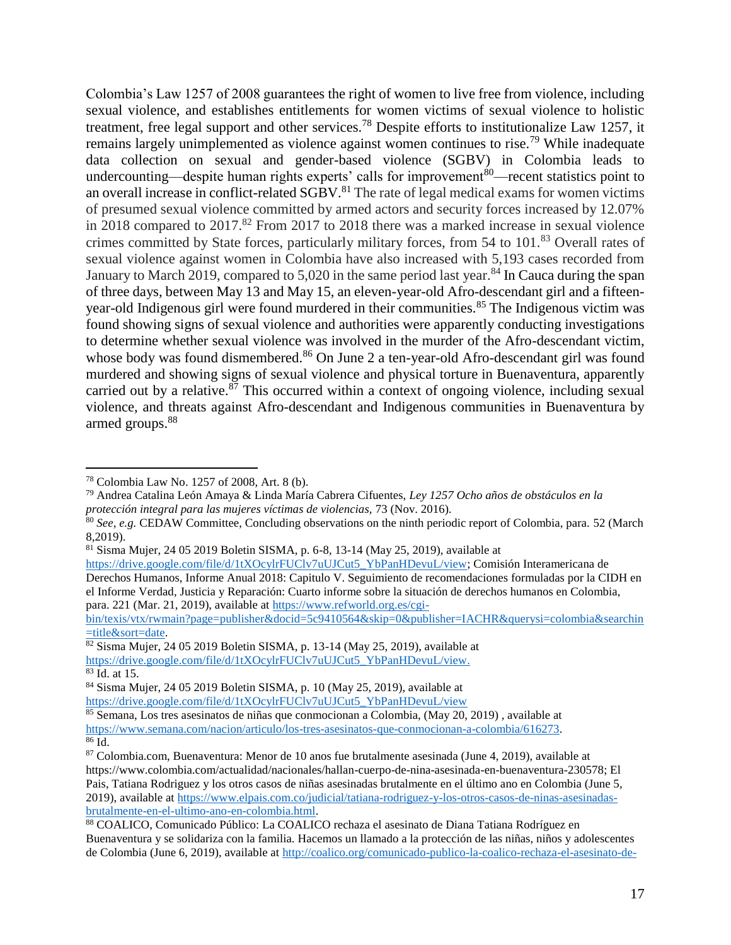Colombia's Law 1257 of 2008 guarantees the right of women to live free from violence, including sexual violence, and establishes entitlements for women victims of sexual violence to holistic treatment, free legal support and other services.<sup>78</sup> Despite efforts to institutionalize Law 1257, it remains largely unimplemented as violence against women continues to rise.<sup>79</sup> While inadequate data collection on sexual and gender-based violence (SGBV) in Colombia leads to undercounting—despite human rights experts' calls for improvement<sup>80</sup>—recent statistics point to an overall increase in conflict-related SGBV.<sup>81</sup> The rate of legal medical exams for women victims of presumed sexual violence committed by armed actors and security forces increased by 12.07% in 2018 compared to 2017.<sup>82</sup> From 2017 to 2018 there was a marked increase in sexual violence crimes committed by State forces, particularly military forces, from 54 to 101.<sup>83</sup> Overall rates of sexual violence against women in Colombia have also increased with 5,193 cases recorded from January to March 2019, compared to 5,020 in the same period last year.<sup>84</sup> In Cauca during the span of three days, between May 13 and May 15, an eleven-year-old Afro-descendant girl and a fifteenyear-old Indigenous girl were found murdered in their communities.<sup>85</sup> The Indigenous victim was found showing signs of sexual violence and authorities were apparently conducting investigations to determine whether sexual violence was involved in the murder of the Afro-descendant victim, whose body was found dismembered.<sup>86</sup> On June 2 a ten-year-old Afro-descendant girl was found murdered and showing signs of sexual violence and physical torture in Buenaventura, apparently carried out by a relative. $87$  This occurred within a context of ongoing violence, including sexual violence, and threats against Afro-descendant and Indigenous communities in Buenaventura by armed groups.<sup>88</sup>

[bin/texis/vtx/rwmain?page=publisher&docid=5c9410564&skip=0&publisher=IACHR&querysi=colombia&searchin](https://www.refworld.org.es/cgi-bin/texis/vtx/rwmain?page=publisher&docid=5c9410564&skip=0&publisher=IACHR&querysi=colombia&searchin=title&sort=date) [=title&sort=date.](https://www.refworld.org.es/cgi-bin/texis/vtx/rwmain?page=publisher&docid=5c9410564&skip=0&publisher=IACHR&querysi=colombia&searchin=title&sort=date)

<sup>78</sup> Colombia Law No. 1257 of 2008, Art. 8 (b).

<sup>79</sup> Andrea Catalina León Amaya & Linda María Cabrera Cifuentes, *Ley 1257 Ocho años de obstáculos en la protección integral para las mujeres víctimas de violencias,* 73 (Nov. 2016).

<sup>80</sup> *See, e.g.* CEDAW Committee, Concluding observations on the ninth periodic report of Colombia, para. 52 (March 8,2019).

 $81$  Sisma Mujer, 24 05 2019 Boletin SISMA, p. 6-8, 13-14 (May 25, 2019), available at

[https://drive.google.com/file/d/1tXOcylrFUClv7uUJCut5\\_YbPanHDevuL/view;](https://drive.google.com/file/d/1tXOcylrFUClv7uUJCut5_YbPanHDevuL/view) Comisión Interamericana de Derechos Humanos, Informe Anual 2018: Capitulo V. Seguimiento de recomendaciones formuladas por la CIDH en el Informe Verdad, Justicia y Reparación: Cuarto informe sobre la situación de derechos humanos en Colombia, para. 221 (Mar. 21, 2019), available at [https://www.refworld.org.es/cgi-](https://www.refworld.org.es/cgi-bin/texis/vtx/rwmain?page=publisher&docid=5c9410564&skip=0&publisher=IACHR&querysi=colombia&searchin=title&sort=date)

 $82$  Sisma Mujer, 24 05 2019 Boletin SISMA, p. 13-14 (May 25, 2019), available at [https://drive.google.com/file/d/1tXOcylrFUClv7uUJCut5\\_YbPanHDevuL/view.](https://drive.google.com/file/d/1tXOcylrFUClv7uUJCut5_YbPanHDevuL/view) <sup>83</sup> Id. at 15.

<sup>84</sup> Sisma Mujer, 24 05 2019 Boletin SISMA, p. 10 (May 25, 2019), available at [https://drive.google.com/file/d/1tXOcylrFUClv7uUJCut5\\_YbPanHDevuL/view](https://drive.google.com/file/d/1tXOcylrFUClv7uUJCut5_YbPanHDevuL/view)

<sup>85</sup> Semana, Los tres asesinatos de niñas que conmocionan a Colombia, (May 20, 2019) , available at

[https://www.semana.com/nacion/articulo/los-tres-asesinatos-que-conmocionan-a-colombia/616273.](https://www.semana.com/nacion/articulo/los-tres-asesinatos-que-conmocionan-a-colombia/616273)

 $86 \text{ Id.}$ 

<sup>87</sup> Colombia.com, Buenaventura: Menor de 10 anos fue brutalmente asesinada (June 4, 2019), available at https://www.colombia.com/actualidad/nacionales/hallan-cuerpo-de-nina-asesinada-en-buenaventura-230578; El Pais, Tatiana Rodriguez y los otros casos de niñas asesinadas brutalmente en el último ano en Colombia (June 5, 2019), available a[t https://www.elpais.com.co/judicial/tatiana-rodriguez-y-los-otros-casos-de-ninas-asesinadas](https://www.elpais.com.co/judicial/tatiana-rodriguez-y-los-otros-casos-de-ninas-asesinadas-brutalmente-en-el-ultimo-ano-en-colombia.html)[brutalmente-en-el-ultimo-ano-en-colombia.html.](https://www.elpais.com.co/judicial/tatiana-rodriguez-y-los-otros-casos-de-ninas-asesinadas-brutalmente-en-el-ultimo-ano-en-colombia.html)

<sup>88</sup> COALICO, Comunicado Público: La COALICO rechaza el asesinato de Diana Tatiana Rodríguez en Buenaventura y se solidariza con la familia. Hacemos un llamado a la protección de las niñas, niños y adolescentes de Colombia (June 6, 2019), available at [http://coalico.org/comunicado-publico-la-coalico-rechaza-el-asesinato-de-](http://coalico.org/comunicado-publico-la-coalico-rechaza-el-asesinato-de-diana-tatiana-rodriguez-en-buenaventura-y-se-solidariza-con-la-familia-hacemos-un-llamado-a-la-proteccion-de-las-ninas-ninos-y-adolescentes-de/)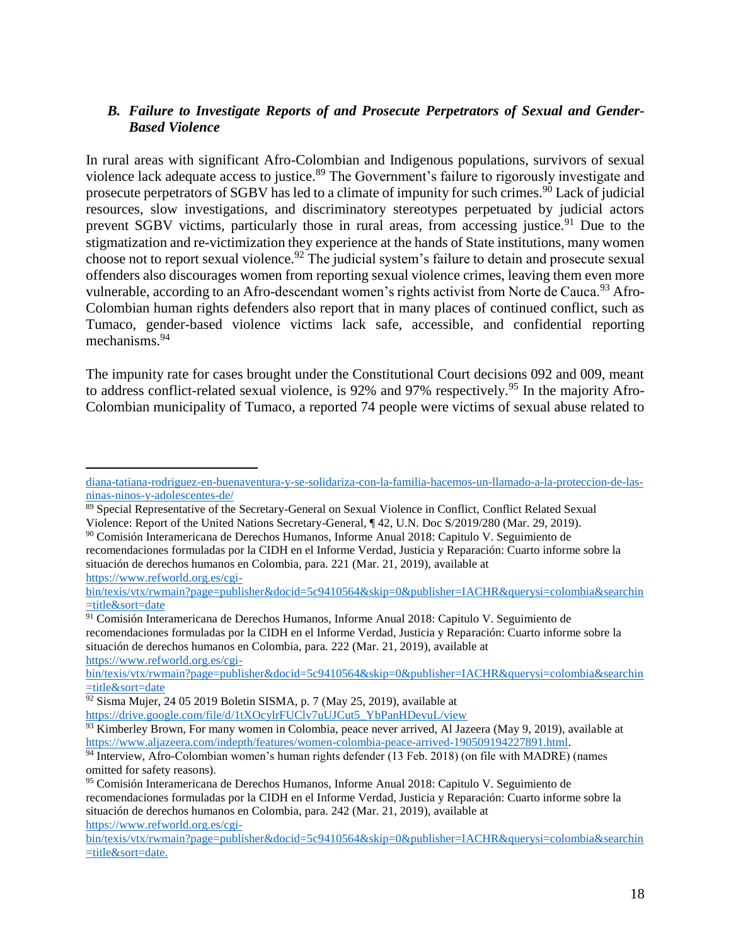### <span id="page-17-0"></span>*B. Failure to Investigate Reports of and Prosecute Perpetrators of Sexual and Gender-Based Violence*

In rural areas with significant Afro-Colombian and Indigenous populations, survivors of sexual violence lack adequate access to justice.<sup>89</sup> The Government's failure to rigorously investigate and prosecute perpetrators of SGBV has led to a climate of impunity for such crimes.<sup>90</sup> Lack of judicial resources, slow investigations, and discriminatory stereotypes perpetuated by judicial actors prevent SGBV victims, particularly those in rural areas, from accessing justice.<sup>91</sup> Due to the stigmatization and re-victimization they experience at the hands of State institutions, many women choose not to report sexual violence.<sup>92</sup> The judicial system's failure to detain and prosecute sexual offenders also discourages women from reporting sexual violence crimes, leaving them even more vulnerable, according to an Afro-descendant women's rights activist from Norte de Cauca.<sup>93</sup> Afro-Colombian human rights defenders also report that in many places of continued conflict, such as Tumaco, gender-based violence victims lack safe, accessible, and confidential reporting mechanisms.<sup>94</sup>

The impunity rate for cases brought under the Constitutional Court decisions 092 and 009, meant to address conflict-related sexual violence, is 92% and 97% respectively.<sup>95</sup> In the majority Afro-Colombian municipality of Tumaco, a reported 74 people were victims of sexual abuse related to

<sup>90</sup> Comisión Interamericana de Derechos Humanos, Informe Anual 2018: Capitulo V. Seguimiento de recomendaciones formuladas por la CIDH en el Informe Verdad, Justicia y Reparación: Cuarto informe sobre la situación de derechos humanos en Colombia, para. 221 (Mar. 21, 2019), available at [https://www.refworld.org.es/cgi-](https://www.refworld.org.es/cgi-bin/texis/vtx/rwmain?page=publisher&docid=5c9410564&skip=0&publisher=IACHR&querysi=colombia&searchin=title&sort=date)

<sup>91</sup> Comisión Interamericana de Derechos Humanos, Informe Anual 2018: Capitulo V. Seguimiento de recomendaciones formuladas por la CIDH en el Informe Verdad, Justicia y Reparación: Cuarto informe sobre la situación de derechos humanos en Colombia, para. 222 (Mar. 21, 2019), available at [https://www.refworld.org.es/cgi-](https://www.refworld.org.es/cgi-bin/texis/vtx/rwmain?page=publisher&docid=5c9410564&skip=0&publisher=IACHR&querysi=colombia&searchin=title&sort=date)

 $92$  Sisma Mujer, 24 05 2019 Boletin SISMA, p. 7 (May 25, 2019), available at [https://drive.google.com/file/d/1tXOcylrFUClv7uUJCut5\\_YbPanHDevuL/view](https://drive.google.com/file/d/1tXOcylrFUClv7uUJCut5_YbPanHDevuL/view)

[diana-tatiana-rodriguez-en-buenaventura-y-se-solidariza-con-la-familia-hacemos-un-llamado-a-la-proteccion-de-las](http://coalico.org/comunicado-publico-la-coalico-rechaza-el-asesinato-de-diana-tatiana-rodriguez-en-buenaventura-y-se-solidariza-con-la-familia-hacemos-un-llamado-a-la-proteccion-de-las-ninas-ninos-y-adolescentes-de/)[ninas-ninos-y-adolescentes-de/](http://coalico.org/comunicado-publico-la-coalico-rechaza-el-asesinato-de-diana-tatiana-rodriguez-en-buenaventura-y-se-solidariza-con-la-familia-hacemos-un-llamado-a-la-proteccion-de-las-ninas-ninos-y-adolescentes-de/)

<sup>89</sup> Special Representative of the Secretary-General on Sexual Violence in Conflict, Conflict Related Sexual Violence: Report of the United Nations Secretary-General, ¶ 42, U.N. Doc S/2019/280 (Mar. 29, 2019).

[bin/texis/vtx/rwmain?page=publisher&docid=5c9410564&skip=0&publisher=IACHR&querysi=colombia&searchin](https://www.refworld.org.es/cgi-bin/texis/vtx/rwmain?page=publisher&docid=5c9410564&skip=0&publisher=IACHR&querysi=colombia&searchin=title&sort=date) [=title&sort=date](https://www.refworld.org.es/cgi-bin/texis/vtx/rwmain?page=publisher&docid=5c9410564&skip=0&publisher=IACHR&querysi=colombia&searchin=title&sort=date)

[bin/texis/vtx/rwmain?page=publisher&docid=5c9410564&skip=0&publisher=IACHR&querysi=colombia&searchin](https://www.refworld.org.es/cgi-bin/texis/vtx/rwmain?page=publisher&docid=5c9410564&skip=0&publisher=IACHR&querysi=colombia&searchin=title&sort=date) [=title&sort=date](https://www.refworld.org.es/cgi-bin/texis/vtx/rwmain?page=publisher&docid=5c9410564&skip=0&publisher=IACHR&querysi=colombia&searchin=title&sort=date)

<sup>&</sup>lt;sup>93</sup> Kimberley Brown, For many women in Colombia, peace never arrived, Al Jazeera (May 9, 2019), available at [https://www.aljazeera.com/indepth/features/women-colombia-peace-arrived-190509194227891.html.](https://www.aljazeera.com/indepth/features/women-colombia-peace-arrived-190509194227891.html)

<sup>94</sup> Interview, Afro-Colombian women's human rights defender (13 Feb. 2018) (on file with MADRE) (names omitted for safety reasons).

<sup>95</sup> Comisión Interamericana de Derechos Humanos, Informe Anual 2018: Capitulo V. Seguimiento de recomendaciones formuladas por la CIDH en el Informe Verdad, Justicia y Reparación: Cuarto informe sobre la situación de derechos humanos en Colombia, para. 242 (Mar. 21, 2019), available at [https://www.refworld.org.es/cgi-](https://www.refworld.org.es/cgi-bin/texis/vtx/rwmain?page=publisher&docid=5c9410564&skip=0&publisher=IACHR&querysi=colombia&searchin=title&sort=date)

[bin/texis/vtx/rwmain?page=publisher&docid=5c9410564&skip=0&publisher=IACHR&querysi=colombia&searchin](https://www.refworld.org.es/cgi-bin/texis/vtx/rwmain?page=publisher&docid=5c9410564&skip=0&publisher=IACHR&querysi=colombia&searchin=title&sort=date) [=title&sort=date.](https://www.refworld.org.es/cgi-bin/texis/vtx/rwmain?page=publisher&docid=5c9410564&skip=0&publisher=IACHR&querysi=colombia&searchin=title&sort=date)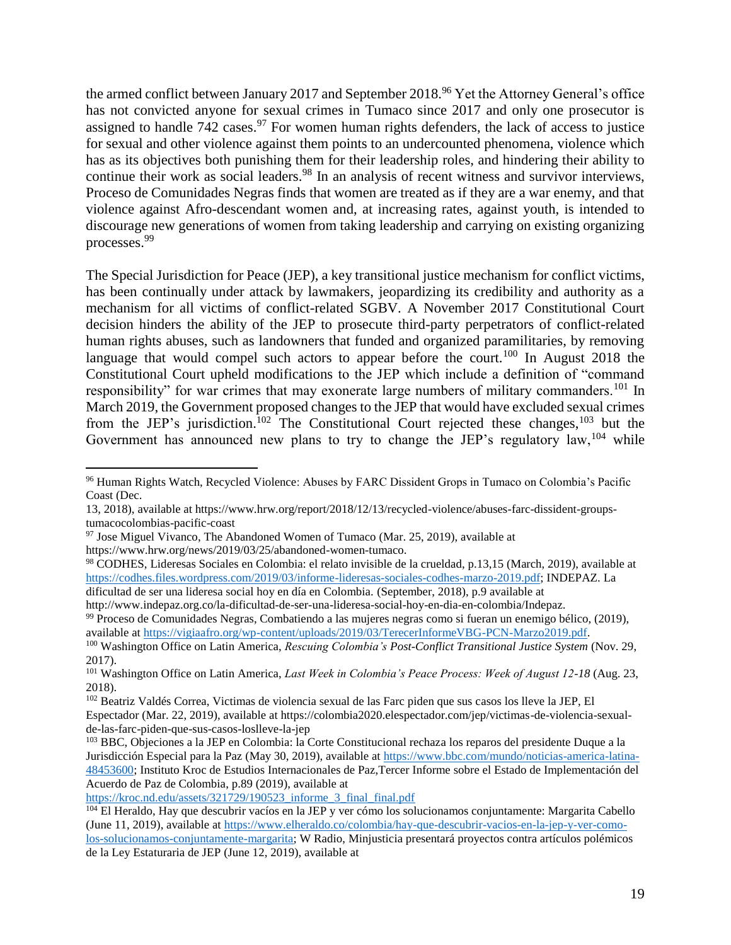the armed conflict between January 2017 and September 2018.<sup>96</sup> Yet the Attorney General's office has not convicted anyone for sexual crimes in Tumaco since 2017 and only one prosecutor is assigned to handle  $742$  cases.<sup>97</sup> For women human rights defenders, the lack of access to justice for sexual and other violence against them points to an undercounted phenomena, violence which has as its objectives both punishing them for their leadership roles, and hindering their ability to continue their work as social leaders.<sup>98</sup> In an analysis of recent witness and survivor interviews, Proceso de Comunidades Negras finds that women are treated as if they are a war enemy, and that violence against Afro-descendant women and, at increasing rates, against youth, is intended to discourage new generations of women from taking leadership and carrying on existing organizing processes.<sup>99</sup>

The Special Jurisdiction for Peace (JEP), a key transitional justice mechanism for conflict victims, has been continually under attack by lawmakers, jeopardizing its credibility and authority as a mechanism for all victims of conflict-related SGBV. A November 2017 Constitutional Court decision hinders the ability of the JEP to prosecute third-party perpetrators of conflict-related human rights abuses, such as landowners that funded and organized paramilitaries, by removing language that would compel such actors to appear before the court.<sup>100</sup> In August 2018 the Constitutional Court upheld modifications to the JEP which include a definition of "command responsibility" for war crimes that may exonerate large numbers of military commanders.<sup>101</sup> In March 2019, the Government proposed changes to the JEP that would have excluded sexual crimes from the JEP's jurisdiction.<sup>102</sup> The Constitutional Court rejected these changes,<sup>103</sup> but the Government has announced new plans to try to change the JEP's regulatory law,<sup>104</sup> while

 $97$  Jose Miguel Vivanco, The Abandoned Women of Tumaco (Mar. 25, 2019), available at

https://www.hrw.org/news/2019/03/25/abandoned-women-tumaco.

 $\overline{a}$ 

<sup>98</sup> CODHES, Lideresas Sociales en Colombia: el relato invisible de la crueldad, p.13,15 (March, 2019), available at [https://codhes.files.wordpress.com/2019/03/informe-lideresas-sociales-codhes-marzo-2019.pdf;](https://codhes.files.wordpress.com/2019/03/informe-lideresas-sociales-codhes-marzo-2019.pdf) INDEPAZ. La dificultad de ser una lideresa social hoy en día en Colombia. (September, 2018), p.9 available at

http://www.indepaz.org.co/la-dificultad-de-ser-una-lideresa-social-hoy-en-dia-en-colombia/Indepaz. <sup>99</sup> Proceso de Comunidades Negras, Combatiendo a las mujeres negras como si fueran un enemigo bélico, (2019), available at [https://vigiaafro.org/wp-content/uploads/2019/03/TerecerInformeVBG-PCN-Marzo2019.pdf.](https://vigiaafro.org/wp-content/uploads/2019/03/TerecerInformeVBG-PCN-Marzo2019.pdf)

[https://kroc.nd.edu/assets/321729/190523\\_informe\\_3\\_final\\_final.pdf](https://kroc.nd.edu/assets/321729/190523_informe_3_final_final.pdf)

<sup>96</sup> Human Rights Watch, Recycled Violence: Abuses by FARC Dissident Grops in Tumaco on Colombia's Pacific Coast (Dec.

<sup>13, 2018),</sup> available at https://www.hrw.org/report/2018/12/13/recycled-violence/abuses-farc-dissident-groupstumacocolombias-pacific-coast

<sup>100</sup> Washington Office on Latin America, *Rescuing Colombia's Post-Conflict Transitional Justice System* (Nov. 29, 2017).

<sup>101</sup> Washington Office on Latin America, *Last Week in Colombia's Peace Process: Week of August 12-18* (Aug. 23, 2018).

<sup>102</sup> Beatriz Valdés Correa, Victimas de violencia sexual de las Farc piden que sus casos los lleve la JEP, El Espectador (Mar. 22, 2019), available at https://colombia2020.elespectador.com/jep/victimas-de-violencia-sexualde-las-farc-piden-que-sus-casos-loslleve-la-jep

<sup>&</sup>lt;sup>103</sup> BBC, Objeciones a la JEP en Colombia: la Corte Constitucional rechaza los reparos del presidente Duque a la Jurisdicción Especial para la Paz (May 30, 2019), available at [https://www.bbc.com/mundo/noticias-america-latina-](https://www.bbc.com/mundo/noticias-america-latina-48453600)[48453600;](https://www.bbc.com/mundo/noticias-america-latina-48453600) Instituto Kroc de Estudios Internacionales de Paz,Tercer Informe sobre el Estado de Implementación del Acuerdo de Paz de Colombia, p.89 (2019), available at

<sup>104</sup> El Heraldo, Hay que descubrir vacíos en la JEP y ver cómo los solucionamos conjuntamente: Margarita Cabello (June 11, 2019), available at [https://www.elheraldo.co/colombia/hay-que-descubrir-vacios-en-la-jep-y-ver-como](https://www.elheraldo.co/colombia/hay-que-descubrir-vacios-en-la-jep-y-ver-como-los-solucionamos-conjuntamente-margarita)[los-solucionamos-conjuntamente-margarita;](https://www.elheraldo.co/colombia/hay-que-descubrir-vacios-en-la-jep-y-ver-como-los-solucionamos-conjuntamente-margarita) W Radio, Minjusticia presentará proyectos contra artículos polémicos de la Ley Estaturaria de JEP (June 12, 2019), available at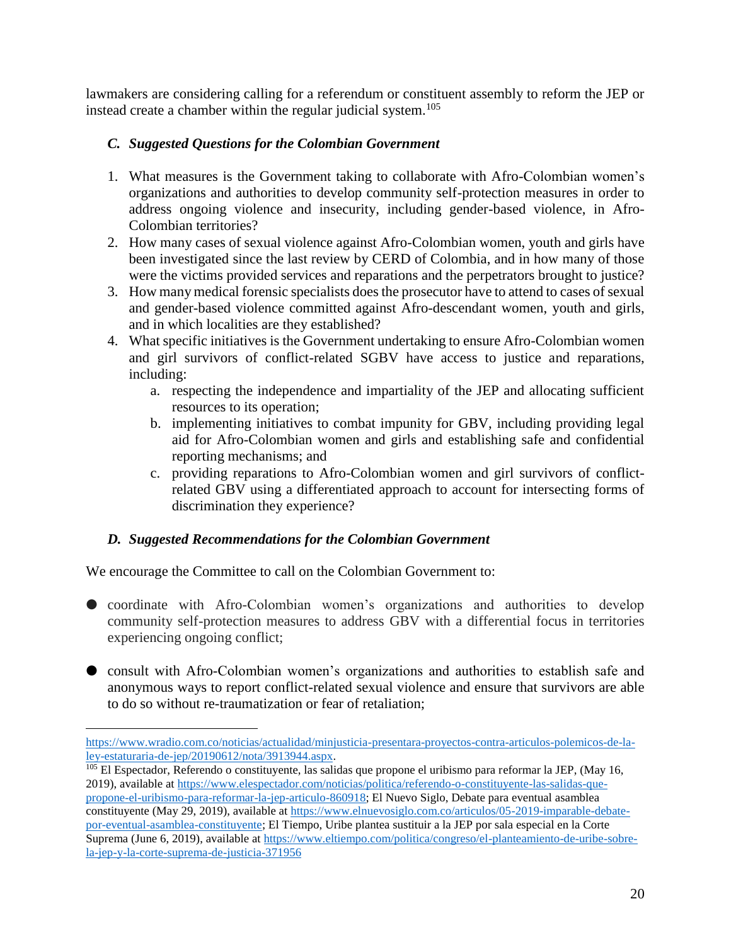lawmakers are considering calling for a referendum or constituent assembly to reform the JEP or instead create a chamber within the regular judicial system.<sup>105</sup>

### <span id="page-19-0"></span>*C. Suggested Questions for the Colombian Government*

- 1. What measures is the Government taking to collaborate with Afro-Colombian women's organizations and authorities to develop community self-protection measures in order to address ongoing violence and insecurity, including gender-based violence, in Afro-Colombian territories?
- 2. How many cases of sexual violence against Afro-Colombian women, youth and girls have been investigated since the last review by CERD of Colombia, and in how many of those were the victims provided services and reparations and the perpetrators brought to justice?
- 3. How many medical forensic specialists does the prosecutor have to attend to cases of sexual and gender-based violence committed against Afro-descendant women, youth and girls, and in which localities are they established?
- 4. What specific initiatives is the Government undertaking to ensure Afro-Colombian women and girl survivors of conflict-related SGBV have access to justice and reparations, including:
	- a. respecting the independence and impartiality of the JEP and allocating sufficient resources to its operation;
	- b. implementing initiatives to combat impunity for GBV, including providing legal aid for Afro-Colombian women and girls and establishing safe and confidential reporting mechanisms; and
	- c. providing reparations to Afro-Colombian women and girl survivors of conflictrelated GBV using a differentiated approach to account for intersecting forms of discrimination they experience?

### <span id="page-19-1"></span>*D. Suggested Recommendations for the Colombian Government*

We encourage the Committee to call on the Colombian Government to:

- coordinate with Afro-Colombian women's organizations and authorities to develop community self-protection measures to address GBV with a differential focus in territories experiencing ongoing conflict;
- consult with Afro-Colombian women's organizations and authorities to establish safe and anonymous ways to report conflict-related sexual violence and ensure that survivors are able to do so without re-traumatization or fear of retaliation;

[https://www.wradio.com.co/noticias/actualidad/minjusticia-presentara-proyectos-contra-articulos-polemicos-de-la](https://www.wradio.com.co/noticias/actualidad/minjusticia-presentara-proyectos-contra-articulos-polemicos-de-la-ley-estaturaria-de-jep/20190612/nota/3913944.aspx)[ley-estaturaria-de-jep/20190612/nota/3913944.aspx.](https://www.wradio.com.co/noticias/actualidad/minjusticia-presentara-proyectos-contra-articulos-polemicos-de-la-ley-estaturaria-de-jep/20190612/nota/3913944.aspx)

<sup>&</sup>lt;sup>105</sup> El Espectador, Referendo o constituyente, las salidas que propone el uribismo para reformar la JEP, (May 16, 2019), available a[t https://www.elespectador.com/noticias/politica/referendo-o-constituyente-las-salidas-que](https://www.elespectador.com/noticias/politica/referendo-o-constituyente-las-salidas-que-propone-el-uribismo-para-reformar-la-jep-articulo-860918)[propone-el-uribismo-para-reformar-la-jep-articulo-860918;](https://www.elespectador.com/noticias/politica/referendo-o-constituyente-las-salidas-que-propone-el-uribismo-para-reformar-la-jep-articulo-860918) El Nuevo Siglo, Debate para eventual asamblea constituyente (May 29, 2019), available at [https://www.elnuevosiglo.com.co/articulos/05-2019-imparable-debate](https://www.elnuevosiglo.com.co/articulos/05-2019-imparable-debate-por-eventual-asamblea-constituyente)[por-eventual-asamblea-constituyente;](https://www.elnuevosiglo.com.co/articulos/05-2019-imparable-debate-por-eventual-asamblea-constituyente) El Tiempo, Uribe plantea sustituir a la JEP por sala especial en la Corte Suprema (June 6, 2019), available at [https://www.eltiempo.com/politica/congreso/el-planteamiento-de-uribe-sobre](https://www.eltiempo.com/politica/congreso/el-planteamiento-de-uribe-sobre-la-jep-y-la-corte-suprema-de-justicia-371956)[la-jep-y-la-corte-suprema-de-justicia-371956](https://www.eltiempo.com/politica/congreso/el-planteamiento-de-uribe-sobre-la-jep-y-la-corte-suprema-de-justicia-371956)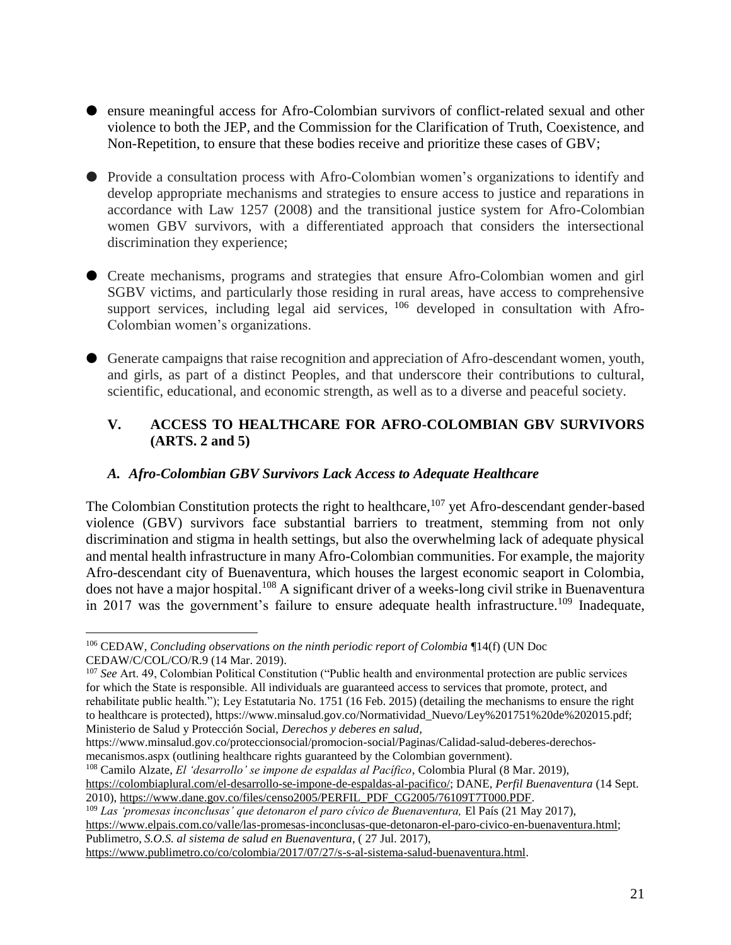- ensure meaningful access for Afro-Colombian survivors of conflict-related sexual and other violence to both the JEP, and the Commission for the Clarification of Truth, Coexistence, and Non-Repetition, to ensure that these bodies receive and prioritize these cases of GBV;
- Provide a consultation process with Afro-Colombian women's organizations to identify and develop appropriate mechanisms and strategies to ensure access to justice and reparations in accordance with Law 1257 (2008) and the transitional justice system for Afro-Colombian women GBV survivors, with a differentiated approach that considers the intersectional discrimination they experience;
- Create mechanisms, programs and strategies that ensure Afro-Colombian women and girl SGBV victims, and particularly those residing in rural areas, have access to comprehensive support services, including legal aid services, <sup>106</sup> developed in consultation with Afro-Colombian women's organizations.
- Generate campaigns that raise recognition and appreciation of Afro-descendant women, youth, and girls, as part of a distinct Peoples, and that underscore their contributions to cultural, scientific, educational, and economic strength, as well as to a diverse and peaceful society.

### <span id="page-20-0"></span>**V. ACCESS TO HEALTHCARE FOR AFRO-COLOMBIAN GBV SURVIVORS (ARTS. 2 and 5)**

### <span id="page-20-1"></span>*A. Afro-Colombian GBV Survivors Lack Access to Adequate Healthcare*

The Colombian Constitution protects the right to healthcare, <sup>107</sup> yet Afro-descendant gender-based violence (GBV) survivors face substantial barriers to treatment, stemming from not only discrimination and stigma in health settings, but also the overwhelming lack of adequate physical and mental health infrastructure in many Afro-Colombian communities. For example, the majority Afro-descendant city of Buenaventura, which houses the largest economic seaport in Colombia, does not have a major hospital.<sup>108</sup> A significant driver of a weeks-long civil strike in Buenaventura in 2017 was the government's failure to ensure adequate health infrastructure.<sup>109</sup> Inadequate,

 $\overline{a}$ 

<sup>108</sup> Camilo Alzate, *El 'desarrollo' se impone de espaldas al Pacífico*, Colombia Plural (8 Mar. 2019), [https://colombiaplural.com/el-desarrollo-se-impone-de-espaldas-al-pacifico/;](https://colombiaplural.com/el-desarrollo-se-impone-de-espaldas-al-pacifico/) DANE, *Perfil Buenaventura* (14 Sept. 2010), [https://www.dane.gov.co/files/censo2005/PERFIL\\_PDF\\_CG2005/76109T7T000.PDF.](https://www.dane.gov.co/files/censo2005/PERFIL_PDF_CG2005/76109T7T000.PDF)

<sup>109</sup> *Las 'promesas inconclusas' que detonaron el paro cívico de Buenaventura,* El País (21 May 2017), [https://www.elpais.com.co/valle/las-promesas-inconclusas-que-detonaron-el-paro-civico-en-buenaventura.html;](https://www.elpais.com.co/valle/las-promesas-inconclusas-que-detonaron-el-paro-civico-en-buenaventura.html) Publimetro, *S.O.S. al sistema de salud en Buenaventura*, ( 27 Jul. 2017),

[https://www.publimetro.co/co/colombia/2017/07/27/s-s-al-sistema-salud-buenaventura.html.](https://www.publimetro.co/co/colombia/2017/07/27/s-s-al-sistema-salud-buenaventura.html)

<sup>106</sup> CEDAW, *Concluding observations on the ninth periodic report of Colombia* ¶14(f) (UN Doc CEDAW/C/COL/CO/R.9 (14 Mar. 2019).

<sup>107</sup> *See* Art. 49, Colombian Political Constitution ("Public health and environmental protection are public services for which the State is responsible. All individuals are guaranteed access to services that promote, protect, and rehabilitate public health."); Ley Estatutaria No. 1751 (16 Feb. 2015) (detailing the mechanisms to ensure the right to healthcare is protected), https://www.minsalud.gov.co/Normatividad\_Nuevo/Ley%201751%20de%202015.pdf; Ministerio de Salud y Protección Social, *Derechos y deberes en salud*,

https://www.minsalud.gov.co/proteccionsocial/promocion-social/Paginas/Calidad-salud-deberes-derechosmecanismos.aspx (outlining healthcare rights guaranteed by the Colombian government).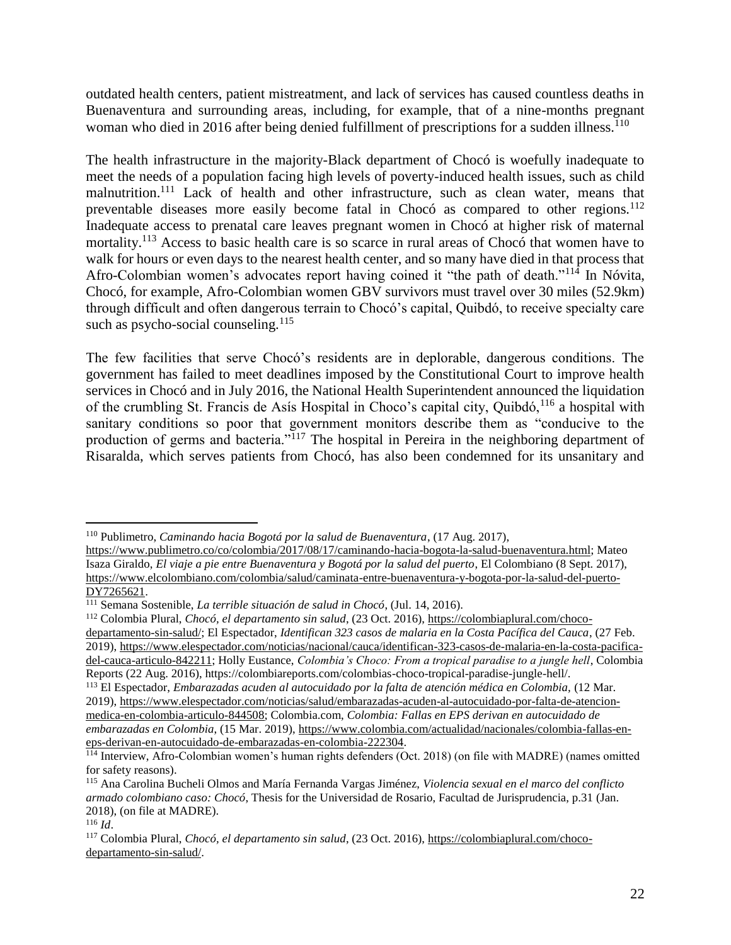outdated health centers, patient mistreatment, and lack of services has caused countless deaths in Buenaventura and surrounding areas, including, for example, that of a nine-months pregnant woman who died in 2016 after being denied fulfillment of prescriptions for a sudden illness.<sup>110</sup>

The health infrastructure in the majority-Black department of Chocó is woefully inadequate to meet the needs of a population facing high levels of poverty-induced health issues, such as child malnutrition.<sup>111</sup> Lack of health and other infrastructure, such as clean water, means that preventable diseases more easily become fatal in Chocó as compared to other regions.<sup>112</sup> Inadequate access to prenatal care leaves pregnant women in Chocó at higher risk of maternal mortality.<sup>113</sup> Access to basic health care is so scarce in rural areas of Chocó that women have to walk for hours or even days to the nearest health center, and so many have died in that process that Afro-Colombian women's advocates report having coined it "the path of death."<sup>114</sup> In Nóvita, Chocó, for example, Afro-Colombian women GBV survivors must travel over 30 miles (52.9km) through difficult and often dangerous terrain to Chocó's capital, Quibdó, to receive specialty care such as psycho-social counseling. $115$ 

The few facilities that serve Chocó's residents are in deplorable, dangerous conditions. The government has failed to meet deadlines imposed by the Constitutional Court to improve health services in Chocó and in July 2016, the National Health Superintendent announced the liquidation of the crumbling St. Francis de Asís Hospital in Choco's capital city, Quibdó,<sup>116</sup> a hospital with sanitary conditions so poor that government monitors describe them as "conducive to the production of germs and bacteria."<sup>117</sup> The hospital in Pereira in the neighboring department of Risaralda, which serves patients from Chocó, has also been condemned for its unsanitary and

<sup>110</sup> Publimetro, *Caminando hacia Bogotá por la salud de Buenaventura*, (17 Aug. 2017),

[https://www.publimetro.co/co/colombia/2017/08/17/caminando-hacia-bogota-la-salud-buenaventura.html;](https://www.publimetro.co/co/colombia/2017/08/17/caminando-hacia-bogota-la-salud-buenaventura.html) Mateo Isaza Giraldo, *El viaje a pie entre Buenaventura y Bogotá por la salud del puerto*, El Colombiano (8 Sept. 2017), [https://www.elcolombiano.com/colombia/salud/caminata-entre-buenaventura-y-bogota-por-la-salud-del-puerto-](https://www.elcolombiano.com/colombia/salud/caminata-entre-buenaventura-y-bogota-por-la-salud-del-puerto-DY7265621)[DY7265621.](https://www.elcolombiano.com/colombia/salud/caminata-entre-buenaventura-y-bogota-por-la-salud-del-puerto-DY7265621)

<sup>111</sup> Semana Sostenible, *La terrible situación de salud in Chocó*, (Jul. 14, 2016).

<sup>112</sup> Colombia Plural, *Chocó, el departamento sin salud*, (23 Oct. 2016), [https://colombiaplural.com/choco](https://colombiaplural.com/choco-departamento-sin-salud/)[departamento-sin-salud/;](https://colombiaplural.com/choco-departamento-sin-salud/) El Espectador, *Identifican 323 casos de malaria en la Costa Pacífica del Cauca*, (27 Feb. 2019), [https://www.elespectador.com/noticias/nacional/cauca/identifican-323-casos-de-malaria-en-la-costa-pacifica](https://www.elespectador.com/noticias/nacional/cauca/identifican-323-casos-de-malaria-en-la-costa-pacifica-del-cauca-articulo-842211)[del-cauca-articulo-842211;](https://www.elespectador.com/noticias/nacional/cauca/identifican-323-casos-de-malaria-en-la-costa-pacifica-del-cauca-articulo-842211) Holly Eustance, *Colombia's Choco: From a tropical paradise to a jungle hell*, Colombia Reports (22 Aug. 2016), https://colombiareports.com/colombias-choco-tropical-paradise-jungle-hell/.

<sup>113</sup> El Espectador, *Embarazadas acuden al autocuidado por la falta de atención médica en Colombia,* (12 Mar. 2019), [https://www.elespectador.com/noticias/salud/embarazadas-acuden-al-autocuidado-por-falta-de-atencion](https://www.elespectador.com/noticias/salud/embarazadas-acuden-al-autocuidado-por-falta-de-atencion-medica-en-colombia-articulo-844508)[medica-en-colombia-articulo-844508;](https://www.elespectador.com/noticias/salud/embarazadas-acuden-al-autocuidado-por-falta-de-atencion-medica-en-colombia-articulo-844508) Colombia.com, *Colombia: Fallas en EPS derivan en autocuidado de embarazadas en Colombia*, (15 Mar. 2019), [https://www.colombia.com/actualidad/nacionales/colombia-fallas-en](https://www.colombia.com/actualidad/nacionales/colombia-fallas-en-eps-derivan-en-autocuidado-de-embarazadas-en-colombia-222304)[eps-derivan-en-autocuidado-de-embarazadas-en-colombia-222304.](https://www.colombia.com/actualidad/nacionales/colombia-fallas-en-eps-derivan-en-autocuidado-de-embarazadas-en-colombia-222304)

 $\frac{1}{114}$  Interview, Afro-Colombian women's human rights defenders (Oct. 2018) (on file with MADRE) (names omitted for safety reasons).

<sup>115</sup> Ana Carolina Bucheli Olmos and María Fernanda Vargas Jiménez, *Violencia sexual en el marco del conflicto armado colombiano caso: Chocó*, Thesis for the Universidad de Rosario, Facultad de Jurisprudencia, p.31 (Jan. 2018), (on file at MADRE).

<sup>116</sup> *Id*.

<sup>117</sup> Colombia Plural, *Chocó, el departamento sin salud*, (23 Oct. 2016), [https://colombiaplural.com/choco](https://colombiaplural.com/choco-departamento-sin-salud/)[departamento-sin-salud/.](https://colombiaplural.com/choco-departamento-sin-salud/)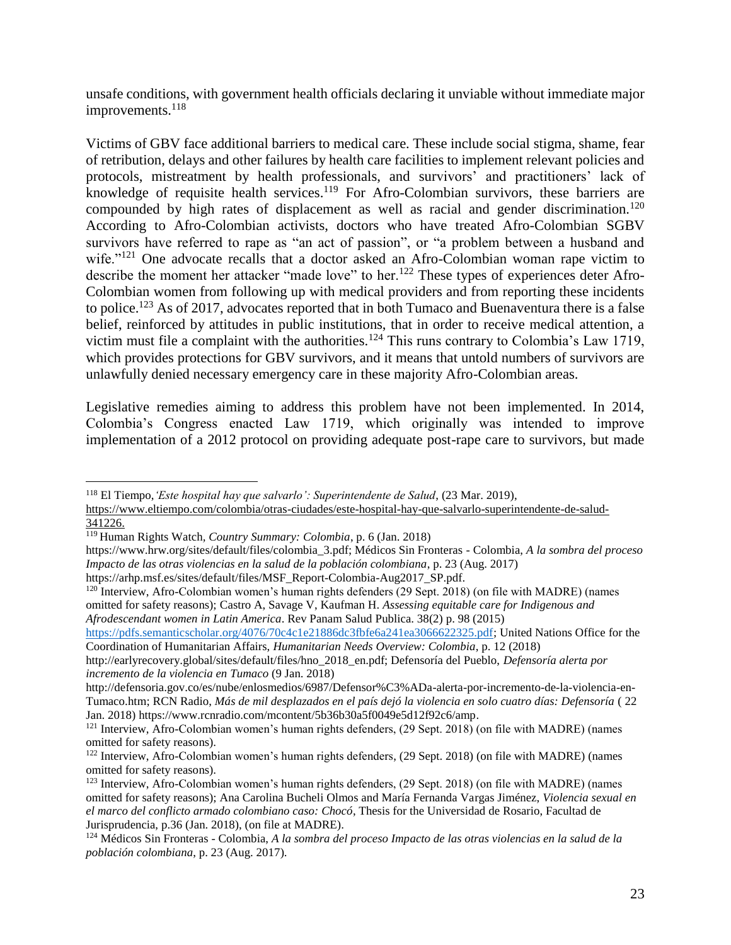unsafe conditions, with government health officials declaring it unviable without immediate major  $improvements.<sup>118</sup>$ 

Victims of GBV face additional barriers to medical care. These include social stigma, shame*,* fear of retribution, delays and other failures by health care facilities to implement relevant policies and protocols, mistreatment by health professionals, and survivors' and practitioners' lack of knowledge of requisite health services.<sup>119</sup> For Afro-Colombian survivors, these barriers are compounded by high rates of displacement as well as racial and gender discrimination.<sup>120</sup> According to Afro-Colombian activists, doctors who have treated Afro-Colombian SGBV survivors have referred to rape as "an act of passion", or "a problem between a husband and wife."<sup>121</sup> One advocate recalls that a doctor asked an Afro-Colombian woman rape victim to describe the moment her attacker "made love" to her.<sup>122</sup> These types of experiences deter Afro-Colombian women from following up with medical providers and from reporting these incidents to police.<sup>123</sup> As of 2017, advocates reported that in both Tumaco and Buenaventura there is a false belief, reinforced by attitudes in public institutions, that in order to receive medical attention, a victim must file a complaint with the authorities.<sup>124</sup> This runs contrary to Colombia's Law 1719, which provides protections for GBV survivors, and it means that untold numbers of survivors are unlawfully denied necessary emergency care in these majority Afro-Colombian areas.

Legislative remedies aiming to address this problem have not been implemented. In 2014, Colombia's Congress enacted Law 1719, which originally was intended to improve implementation of a 2012 protocol on providing adequate post-rape care to survivors, but made

 $\overline{a}$ 

https://arhp.msf.es/sites/default/files/MSF\_Report-Colombia-Aug2017\_SP.pdf.

[https://pdfs.semanticscholar.org/4076/70c4c1e21886dc3fbfe6a241ea3066622325.pdf;](https://pdfs.semanticscholar.org/4076/70c4c1e21886dc3fbfe6a241ea3066622325.pdf) United Nations Office for the Coordination of Humanitarian Affairs, *Humanitarian Needs Overview: Colombia*, p. 12 (2018)

<sup>118</sup> El Tiempo,*'Este hospital hay que salvarlo': Superintendente de Salud*, (23 Mar. 2019),

[https://www.eltiempo.com/colombia/otras-ciudades/este-hospital-hay-que-salvarlo-superintendente-de-salud-](https://www.eltiempo.com/colombia/otras-ciudades/este-hospital-hay-que-salvarlo-superintendente-de-salud-341226)[341226.](https://www.eltiempo.com/colombia/otras-ciudades/este-hospital-hay-que-salvarlo-superintendente-de-salud-341226)

<sup>119</sup> Human Rights Watch*, Country Summary: Colombia*, p. 6 (Jan. 2018)

https://www.hrw.org/sites/default/files/colombia\_3.pdf; Médicos Sin Fronteras - Colombia, *A la sombra del proceso Impacto de las otras violencias en la salud de la población colombiana*, p. 23 (Aug. 2017)

 $120$  Interview, Afro-Colombian women's human rights defenders (29 Sept. 2018) (on file with MADRE) (names omitted for safety reasons); Castro A, Savage V, Kaufman H. *Assessing equitable care for Indigenous and Afrodescendant women in Latin America*. Rev Panam Salud Publica. 38(2) p. 98 (2015)

http://earlyrecovery.global/sites/default/files/hno\_2018\_en.pdf; Defensoría del Pueblo, *Defensoría alerta por incremento de la violencia en Tumaco* (9 Jan. 2018)

http://defensoria.gov.co/es/nube/enlosmedios/6987/Defensor%C3%ADa-alerta-por-incremento-de-la-violencia-en-Tumaco.htm; RCN Radio, *Más de mil desplazados en el país dejó la violencia en solo cuatro días: Defensoría* ( 22 Jan. 2018) https://www.rcnradio.com/mcontent/5b36b30a5f0049e5d12f92c6/amp.

<sup>&</sup>lt;sup>121</sup> Interview, Afro-Colombian women's human rights defenders, (29 Sept. 2018) (on file with MADRE) (names omitted for safety reasons).

<sup>122</sup> Interview, Afro-Colombian women's human rights defenders, (29 Sept. 2018) (on file with MADRE) (names omitted for safety reasons).

<sup>&</sup>lt;sup>123</sup> Interview, Afro-Colombian women's human rights defenders, (29 Sept. 2018) (on file with MADRE) (names omitted for safety reasons); Ana Carolina Bucheli Olmos and María Fernanda Vargas Jiménez, *Violencia sexual en el marco del conflicto armado colombiano caso: Chocó*, Thesis for the Universidad de Rosario, Facultad de Jurisprudencia, p.36 (Jan. 2018), (on file at MADRE).

<sup>124</sup> Médicos Sin Fronteras - Colombia, *A la sombra del proceso Impacto de las otras violencias en la salud de la población colombiana*, p. 23 (Aug. 2017).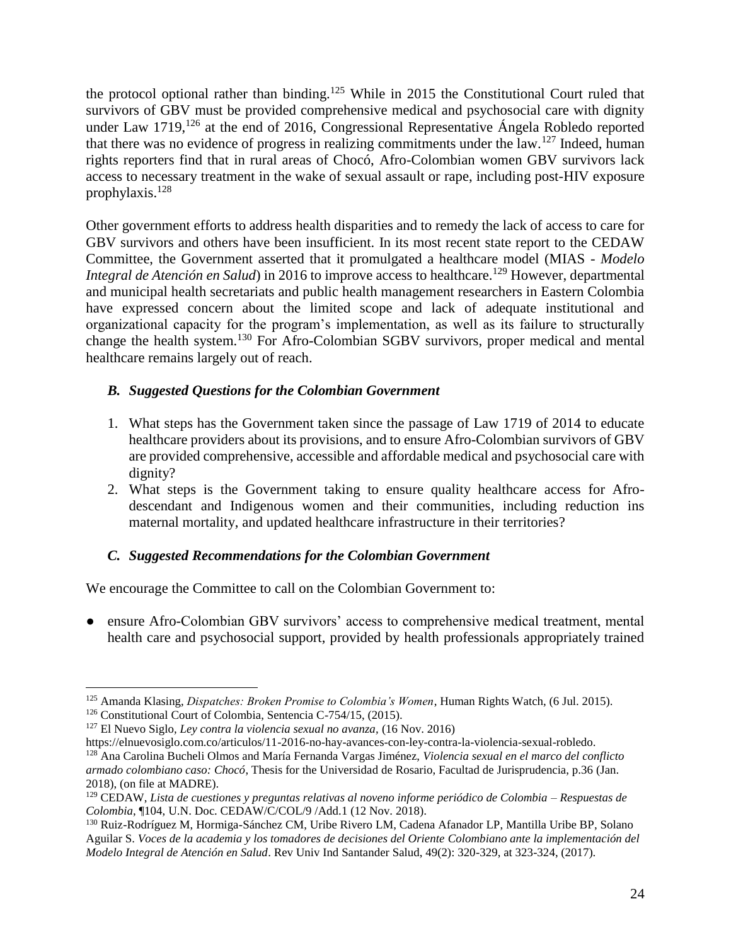the protocol optional rather than binding.<sup>125</sup> While in 2015 the Constitutional Court ruled that survivors of GBV must be provided comprehensive medical and psychosocial care with dignity under Law 1719,<sup>126</sup> at the end of 2016, Congressional Representative Ángela Robledo reported that there was no evidence of progress in realizing commitments under the law.<sup>127</sup> Indeed, human rights reporters find that in rural areas of Chocó, Afro-Colombian women GBV survivors lack access to necessary treatment in the wake of sexual assault or rape, including post-HIV exposure prophylaxis.<sup>128</sup>

Other government efforts to address health disparities and to remedy the lack of access to care for GBV survivors and others have been insufficient. In its most recent state report to the CEDAW Committee, the Government asserted that it promulgated a healthcare model (MIAS - *Modelo Integral de Atención en Salud*) in 2016 to improve access to healthcare.<sup>129</sup> However, departmental and municipal health secretariats and public health management researchers in Eastern Colombia have expressed concern about the limited scope and lack of adequate institutional and organizational capacity for the program's implementation, as well as its failure to structurally change the health system.<sup>130</sup> For Afro-Colombian SGBV survivors, proper medical and mental healthcare remains largely out of reach.

### <span id="page-23-0"></span>*B. Suggested Questions for the Colombian Government*

- 1. What steps has the Government taken since the passage of Law 1719 of 2014 to educate healthcare providers about its provisions, and to ensure Afro-Colombian survivors of GBV are provided comprehensive, accessible and affordable medical and psychosocial care with dignity?
- 2. What steps is the Government taking to ensure quality healthcare access for Afrodescendant and Indigenous women and their communities, including reduction ins maternal mortality, and updated healthcare infrastructure in their territories?

### <span id="page-23-1"></span>*C. Suggested Recommendations for the Colombian Government*

We encourage the Committee to call on the Colombian Government to:

● ensure Afro-Colombian GBV survivors' access to comprehensive medical treatment, mental health care and psychosocial support, provided by health professionals appropriately trained

<sup>125</sup> Amanda Klasing, *Dispatches: Broken Promise to Colombia's Women*, Human Rights Watch, (6 Jul. 2015).

<sup>126</sup> Constitutional Court of Colombia, Sentencia C-754/15, (2015).

<sup>127</sup> El Nuevo Siglo*, Ley contra la violencia sexual no avanza,* (16 Nov. 2016)

https://elnuevosiglo.com.co/articulos/11-2016-no-hay-avances-con-ley-contra-la-violencia-sexual-robledo. <sup>128</sup> Ana Carolina Bucheli Olmos and María Fernanda Vargas Jiménez, *Violencia sexual en el marco del conflicto armado colombiano caso: Chocó*, Thesis for the Universidad de Rosario, Facultad de Jurisprudencia, p.36 (Jan. 2018), (on file at MADRE).

<sup>129</sup> CEDAW, *Lista de cuestiones y preguntas relativas al noveno informe periódico de Colombia – Respuestas de Colombia*, ¶104, U.N. Doc. CEDAW/C/COL/9 /Add.1 (12 Nov. 2018)*.*

<sup>130</sup> Ruiz-Rodríguez M, Hormiga-Sánchez CM, Uribe Rivero LM, Cadena Afanador LP, Mantilla Uribe BP, Solano Aguilar S. *Voces de la academia y los tomadores de decisiones del Oriente Colombiano ante la implementación del Modelo Integral de Atención en Salud*. Rev Univ Ind Santander Salud, 49(2): 320-329, at 323-324, (2017).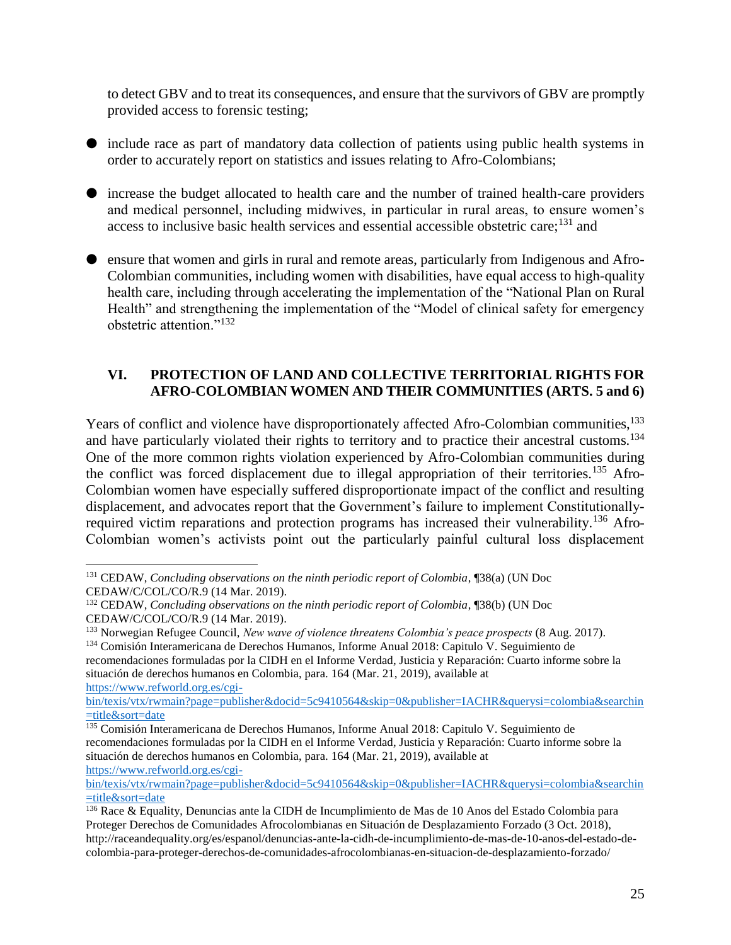to detect GBV and to treat its consequences, and ensure that the survivors of GBV are promptly provided access to forensic testing;

- include race as part of mandatory data collection of patients using public health systems in order to accurately report on statistics and issues relating to Afro-Colombians;
- increase the budget allocated to health care and the number of trained health-care providers and medical personnel, including midwives, in particular in rural areas, to ensure women's access to inclusive basic health services and essential accessible obstetric care;  $^{131}$  and
- ensure that women and girls in rural and remote areas, particularly from Indigenous and Afro-Colombian communities, including women with disabilities, have equal access to high-quality health care, including through accelerating the implementation of the "National Plan on Rural Health" and strengthening the implementation of the "Model of clinical safety for emergency obstetric attention."<sup>132</sup>

### <span id="page-24-0"></span>**VI. PROTECTION OF LAND AND COLLECTIVE TERRITORIAL RIGHTS FOR AFRO-COLOMBIAN WOMEN AND THEIR COMMUNITIES (ARTS. 5 and 6)**

Years of conflict and violence have disproportionately affected Afro-Colombian communities,<sup>133</sup> and have particularly violated their rights to territory and to practice their ancestral customs.<sup>134</sup> One of the more common rights violation experienced by Afro-Colombian communities during the conflict was forced displacement due to illegal appropriation of their territories.<sup>135</sup> Afro-Colombian women have especially suffered disproportionate impact of the conflict and resulting displacement, and advocates report that the Government's failure to implement Constitutionallyrequired victim reparations and protection programs has increased their vulnerability.<sup>136</sup> Afro-Colombian women's activists point out the particularly painful cultural loss displacement

[bin/texis/vtx/rwmain?page=publisher&docid=5c9410564&skip=0&publisher=IACHR&querysi=colombia&searchin](https://www.refworld.org.es/cgi-bin/texis/vtx/rwmain?page=publisher&docid=5c9410564&skip=0&publisher=IACHR&querysi=colombia&searchin=title&sort=date) [=title&sort=date](https://www.refworld.org.es/cgi-bin/texis/vtx/rwmain?page=publisher&docid=5c9410564&skip=0&publisher=IACHR&querysi=colombia&searchin=title&sort=date)

 $\overline{a}$ <sup>131</sup> CEDAW, *Concluding observations on the ninth periodic report of Colombia*, ¶38(a) (UN Doc CEDAW/C/COL/CO/R.9 (14 Mar. 2019).

<sup>132</sup> CEDAW, *Concluding observations on the ninth periodic report of Colombia*, ¶38(b) (UN Doc CEDAW/C/COL/CO/R.9 (14 Mar. 2019).

<sup>133</sup> Norwegian Refugee Council, *New wave of violence threatens Colombia's peace prospects* (8 Aug. 2017).

<sup>134</sup> Comisión Interamericana de Derechos Humanos, Informe Anual 2018: Capitulo V. Seguimiento de recomendaciones formuladas por la CIDH en el Informe Verdad, Justicia y Reparación: Cuarto informe sobre la situación de derechos humanos en Colombia, para. 164 (Mar. 21, 2019), available at [https://www.refworld.org.es/cgi-](https://www.refworld.org.es/cgi-bin/texis/vtx/rwmain?page=publisher&docid=5c9410564&skip=0&publisher=IACHR&querysi=colombia&searchin=title&sort=date)

<sup>&</sup>lt;sup>135</sup> Comisión Interamericana de Derechos Humanos, Informe Anual 2018: Capitulo V. Seguimiento de recomendaciones formuladas por la CIDH en el Informe Verdad, Justicia y Reparación: Cuarto informe sobre la situación de derechos humanos en Colombia, para. 164 (Mar. 21, 2019), available at [https://www.refworld.org.es/cgi-](https://www.refworld.org.es/cgi-bin/texis/vtx/rwmain?page=publisher&docid=5c9410564&skip=0&publisher=IACHR&querysi=colombia&searchin=title&sort=date)

[bin/texis/vtx/rwmain?page=publisher&docid=5c9410564&skip=0&publisher=IACHR&querysi=colombia&searchin](https://www.refworld.org.es/cgi-bin/texis/vtx/rwmain?page=publisher&docid=5c9410564&skip=0&publisher=IACHR&querysi=colombia&searchin=title&sort=date) [=title&sort=date](https://www.refworld.org.es/cgi-bin/texis/vtx/rwmain?page=publisher&docid=5c9410564&skip=0&publisher=IACHR&querysi=colombia&searchin=title&sort=date)

<sup>136</sup> Race & Equality, Denuncias ante la CIDH de Incumplimiento de Mas de 10 Anos del Estado Colombia para Proteger Derechos de Comunidades Afrocolombianas en Situación de Desplazamiento Forzado (3 Oct. 2018), http://raceandequality.org/es/espanol/denuncias-ante-la-cidh-de-incumplimiento-de-mas-de-10-anos-del-estado-decolombia-para-proteger-derechos-de-comunidades-afrocolombianas-en-situacion-de-desplazamiento-forzado/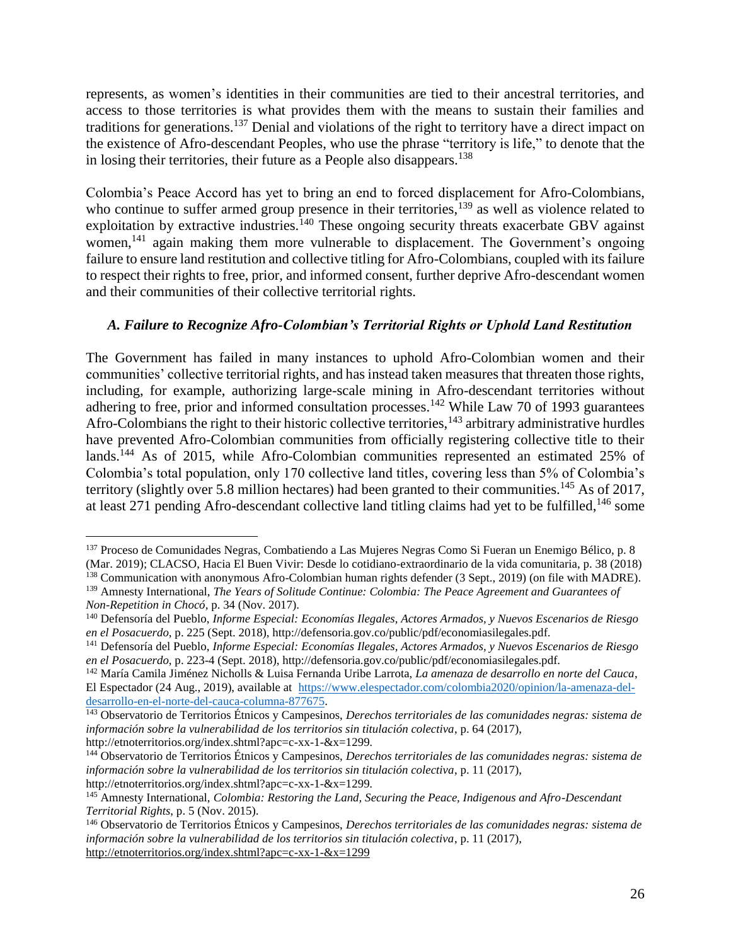represents, as women's identities in their communities are tied to their ancestral territories, and access to those territories is what provides them with the means to sustain their families and traditions for generations.<sup>137</sup> Denial and violations of the right to territory have a direct impact on the existence of Afro-descendant Peoples, who use the phrase "territory is life," to denote that the in losing their territories, their future as a People also disappears.<sup>138</sup>

Colombia's Peace Accord has yet to bring an end to forced displacement for Afro-Colombians, who continue to suffer armed group presence in their territories,<sup>139</sup> as well as violence related to exploitation by extractive industries.<sup>140</sup> These ongoing security threats exacerbate GBV against women,<sup>141</sup> again making them more vulnerable to displacement. The Government's ongoing failure to ensure land restitution and collective titling for Afro-Colombians, coupled with its failure to respect their rights to free, prior, and informed consent, further deprive Afro-descendant women and their communities of their collective territorial rights.

### <span id="page-25-0"></span>*A. Failure to Recognize Afro-Colombian's Territorial Rights or Uphold Land Restitution*

The Government has failed in many instances to uphold Afro-Colombian women and their communities' collective territorial rights, and has instead taken measures that threaten those rights, including, for example, authorizing large-scale mining in Afro-descendant territories without adhering to free, prior and informed consultation processes.<sup>142</sup> While Law 70 of 1993 guarantees Afro-Colombians the right to their historic collective territories,  $143$  arbitrary administrative hurdles have prevented Afro-Colombian communities from officially registering collective title to their lands.<sup>144</sup> As of 2015, while Afro-Colombian communities represented an estimated 25% of Colombia's total population, only 170 collective land titles, covering less than 5% of Colombia's territory (slightly over 5.8 million hectares) had been granted to their communities.<sup>145</sup> As of 2017, at least 271 pending Afro-descendant collective land titling claims had yet to be fulfilled,<sup>146</sup> some

 $\overline{a}$ 

<sup>142</sup> María Camila Jiménez Nicholls & Luisa Fernanda Uribe Larrota, *La amenaza de desarrollo en norte del Cauca*, El Espectador (24 Aug., 2019), available at [https://www.elespectador.com/colombia2020/opinion/la-amenaza-del](https://www.elespectador.com/colombia2020/opinion/la-amenaza-del-desarrollo-en-el-norte-del-cauca-columna-877675)[desarrollo-en-el-norte-del-cauca-columna-877675.](https://www.elespectador.com/colombia2020/opinion/la-amenaza-del-desarrollo-en-el-norte-del-cauca-columna-877675)

<sup>137</sup> Proceso de Comunidades Negras, Combatiendo a Las Mujeres Negras Como Si Fueran un Enemigo Bélico, p. 8 (Mar. 2019); CLACSO, Hacia El Buen Vivir: Desde lo cotidiano-extraordinario de la vida comunitaria, p. 38 (2018)

<sup>&</sup>lt;sup>138</sup> Communication with anonymous Afro-Colombian human rights defender (3 Sept., 2019) (on file with MADRE).

<sup>139</sup> Amnesty International, *The Years of Solitude Continue: Colombia: The Peace Agreement and Guarantees of Non-Repetition in Chocó,* p. 34 (Nov. 2017).

<sup>140</sup> Defensoría del Pueblo, *Informe Especial: Economías Ilegales, Actores Armados, y Nuevos Escenarios de Riesgo en el Posacuerdo*, p. 225 (Sept. 2018), http://defensoria.gov.co/public/pdf/economiasilegales.pdf.

<sup>141</sup> Defensoría del Pueblo, *Informe Especial: Economías Ilegales, Actores Armados, y Nuevos Escenarios de Riesgo en el Posacuerdo*, p. 223-4 (Sept. 2018), http://defensoria.gov.co/public/pdf/economiasilegales.pdf.

<sup>143</sup> Observatorio de Territorios Étnicos y Campesinos, *Derechos territoriales de las comunidades negras: sistema de información sobre la vulnerabilidad de los territorios sin titulación colectiva*, p. 64 (2017), http://etnoterritorios.org/index.shtml?apc=c-xx-1-&x=1299*.*

<sup>144</sup> Observatorio de Territorios Étnicos y Campesinos, *Derechos territoriales de las comunidades negras: sistema de información sobre la vulnerabilidad de los territorios sin titulación colectiva*, p. 11 (2017), http://etnoterritorios.org/index.shtml?apc=c-xx-1-&x=1299*.*

<sup>145</sup> Amnesty International, *Colombia: Restoring the Land, Securing the Peace, Indigenous and Afro-Descendant Territorial Rights*, p. 5 (Nov. 2015).

<sup>146</sup> Observatorio de Territorios Étnicos y Campesinos, *Derechos territoriales de las comunidades negras: sistema de información sobre la vulnerabilidad de los territorios sin titulación colectiva*, p. 11 (2017), <http://etnoterritorios.org/index.shtml?apc=c-xx-1-&x=1299>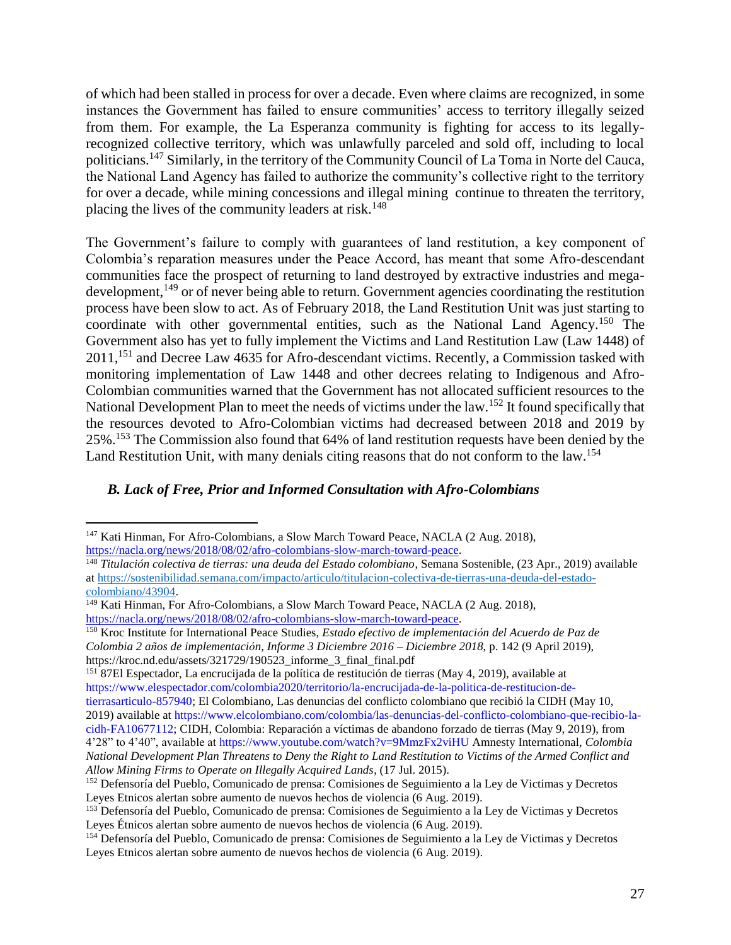of which had been stalled in process for over a decade. Even where claims are recognized, in some instances the Government has failed to ensure communities' access to territory illegally seized from them. For example, the La Esperanza community is fighting for access to its legallyrecognized collective territory, which was unlawfully parceled and sold off, including to local politicians.<sup>147</sup> Similarly, in the territory of the Community Council of La Toma in Norte del Cauca, the National Land Agency has failed to authorize the community's collective right to the territory for over a decade, while mining concessions and illegal mining continue to threaten the territory, placing the lives of the community leaders at risk.<sup>148</sup>

The Government's failure to comply with guarantees of land restitution, a key component of Colombia's reparation measures under the Peace Accord, has meant that some Afro-descendant communities face the prospect of returning to land destroyed by extractive industries and megadevelopment, <sup>149</sup> or of never being able to return. Government agencies coordinating the restitution process have been slow to act. As of February 2018, the Land Restitution Unit was just starting to coordinate with other governmental entities, such as the National Land Agency.<sup>150</sup> The Government also has yet to fully implement the Victims and Land Restitution Law (Law 1448) of 2011,<sup>151</sup> and Decree Law 4635 for Afro-descendant victims. Recently, a Commission tasked with monitoring implementation of Law 1448 and other decrees relating to Indigenous and Afro-Colombian communities warned that the Government has not allocated sufficient resources to the National Development Plan to meet the needs of victims under the law.<sup>152</sup> It found specifically that the resources devoted to Afro-Colombian victims had decreased between 2018 and 2019 by 25%.<sup>153</sup> The Commission also found that 64% of land restitution requests have been denied by the Land Restitution Unit, with many denials citing reasons that do not conform to the law.<sup>154</sup>

### <span id="page-26-0"></span>*B. Lack of Free, Prior and Informed Consultation with Afro-Colombians*

<sup>151</sup> 87El Espectador, La encrucijada de la política de restitución de tierras (May 4, 2019), available at https://www.elespectador.com/colombia2020/territorio/la-encrucijada-de-la-politica-de-restitucion-detierrasarticulo-857940; El Colombiano, Las denuncias del conflicto colombiano que recibió la CIDH (May 10, 2019) available at https://www.elcolombiano.com/colombia/las-denuncias-del-conflicto-colombiano-que-recibio-lacidh-FA10677112; CIDH, Colombia: Reparación a víctimas de abandono forzado de tierras (May 9, 2019), from 4'28" to 4'40", available at https://www.youtube.com/watch?v=9MmzFx2viHU Amnesty International, *Colombia National Development Plan Threatens to Deny the Right to Land Restitution to Victims of the Armed Conflict and Allow Mining Firms to Operate on Illegally Acquired Lands*, (17 Jul. 2015).

 $\overline{a}$ <sup>147</sup> Kati Hinman, For Afro-Colombians, a Slow March Toward Peace, NACLA (2 Aug. 2018), [https://nacla.org/news/2018/08/02/afro-colombians-slow-march-toward-peace.](https://nacla.org/news/2018/08/02/afro-colombians-slow-march-toward-peace)

<sup>148</sup> *Titulación colectiva de tierras: una deuda del Estado colombiano*, Semana Sostenible, (23 Apr., 2019) available a[t https://sostenibilidad.semana.com/impacto/articulo/titulacion-colectiva-de-tierras-una-deuda-del-estado](https://sostenibilidad.semana.com/impacto/articulo/titulacion-colectiva-de-tierras-una-deuda-del-estado-colombiano/43904)[colombiano/43904.](https://sostenibilidad.semana.com/impacto/articulo/titulacion-colectiva-de-tierras-una-deuda-del-estado-colombiano/43904)

<sup>&</sup>lt;sup>149</sup> Kati Hinman, For Afro-Colombians, a Slow March Toward Peace, NACLA (2 Aug. 2018), [https://nacla.org/news/2018/08/02/afro-colombians-slow-march-toward-peace.](https://nacla.org/news/2018/08/02/afro-colombians-slow-march-toward-peace)

<sup>150</sup> Kroc Institute for International Peace Studies, *Estado efectivo de implementación del Acuerdo de Paz de Colombia 2 años de implementación, Informe 3 Diciembre 2016 – Diciembre 2018*, p. 142 (9 April 2019), https://kroc.nd.edu/assets/321729/190523\_informe\_3\_final\_final.pdf

<sup>152</sup> Defensoría del Pueblo, Comunicado de prensa: Comisiones de Seguimiento a la Ley de Victimas y Decretos Leyes Etnicos alertan sobre aumento de nuevos hechos de violencia (6 Aug. 2019).

<sup>153</sup> Defensoría del Pueblo, Comunicado de prensa: Comisiones de Seguimiento a la Ley de Victimas y Decretos Leyes Étnicos alertan sobre aumento de nuevos hechos de violencia (6 Aug. 2019).

<sup>154</sup> Defensoría del Pueblo, Comunicado de prensa: Comisiones de Seguimiento a la Ley de Victimas y Decretos Leyes Etnicos alertan sobre aumento de nuevos hechos de violencia (6 Aug. 2019).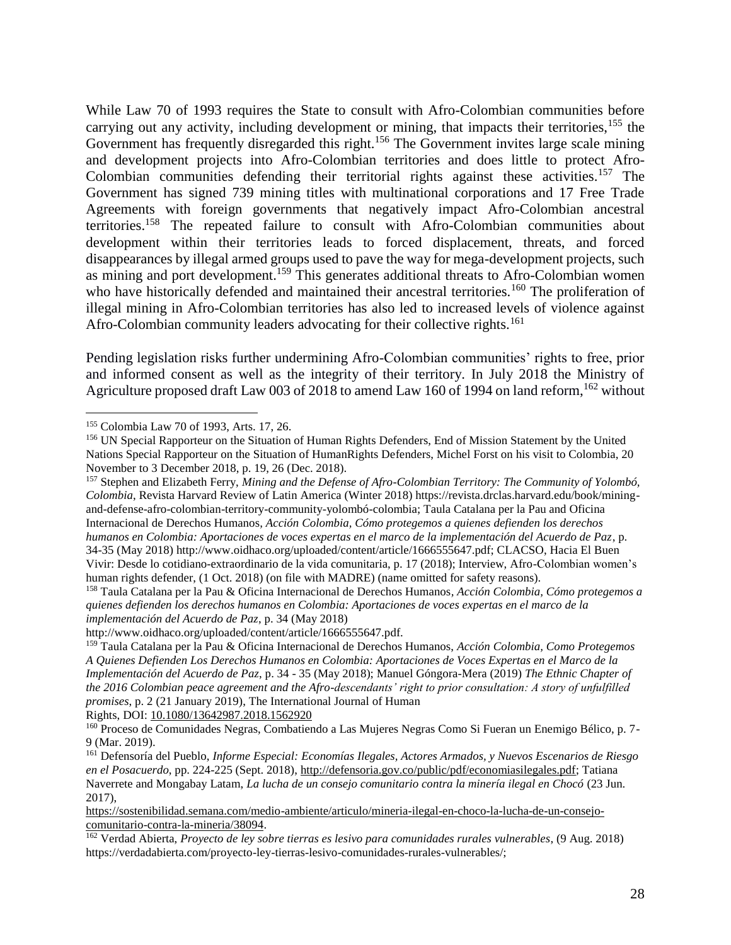While Law 70 of 1993 requires the State to consult with Afro-Colombian communities before carrying out any activity, including development or mining, that impacts their territories,<sup>155</sup> the Government has frequently disregarded this right.<sup>156</sup> The Government invites large scale mining and development projects into Afro-Colombian territories and does little to protect Afro-Colombian communities defending their territorial rights against these activities.<sup>157</sup> The Government has signed 739 mining titles with multinational corporations and 17 Free Trade Agreements with foreign governments that negatively impact Afro-Colombian ancestral territories.<sup>158</sup> The repeated failure to consult with Afro-Colombian communities about development within their territories leads to forced displacement, threats, and forced disappearances by illegal armed groups used to pave the way for mega-development projects, such as mining and port development.<sup>159</sup> This generates additional threats to Afro-Colombian women who have historically defended and maintained their ancestral territories.<sup>160</sup> The proliferation of illegal mining in Afro-Colombian territories has also led to increased levels of violence against Afro-Colombian community leaders advocating for their collective rights.<sup>161</sup>

Pending legislation risks further undermining Afro-Colombian communities' rights to free, prior and informed consent as well as the integrity of their territory. In July 2018 the Ministry of Agriculture proposed draft Law 003 of 2018 to amend Law 160 of 1994 on land reform,  $162$  without

 $\overline{a}$ 

<sup>157</sup> Stephen and Elizabeth Ferry, *Mining and the Defense of Afro-Colombian Territory: The Community of Yolombó, Colombia*, Revista Harvard Review of Latin America (Winter 2018) https://revista.drclas.harvard.edu/book/miningand-defense-afro-colombian-territory-community-yolombó-colombia; Taula Catalana per la Pau and Oficina Internacional de Derechos Humanos*, Acción Colombia, Cómo protegemos a quienes defienden los derechos humanos en Colombia: Aportaciones de voces expertas en el marco de la implementación del Acuerdo de Paz*, p. 34-35 (May 2018) http://www.oidhaco.org/uploaded/content/article/1666555647.pdf; CLACSO, Hacia El Buen Vivir: Desde lo cotidiano-extraordinario de la vida comunitaria, p. 17 (2018); Interview, Afro-Colombian women's

human rights defender, (1 Oct. 2018) (on file with MADRE) (name omitted for safety reasons).

<sup>158</sup> Taula Catalana per la Pau & Oficina Internacional de Derechos Humanos*, Acción Colombia, Cómo protegemos a quienes defienden los derechos humanos en Colombia: Aportaciones de voces expertas en el marco de la implementación del Acuerdo de Paz*, p. 34 (May 2018)

http://www.oidhaco.org/uploaded/content/article/1666555647.pdf.

Rights, DOI: [10.1080/13642987.2018.1562920](https://basesbiblioteca.uexternado.edu.co:2327/10.1080/13642987.2018.1562920)

[https://sostenibilidad.semana.com/medio-ambiente/articulo/mineria-ilegal-en-choco-la-lucha-de-un-consejo](https://sostenibilidad.semana.com/medio-ambiente/articulo/mineria-ilegal-en-choco-la-lucha-de-un-consejo-comunitario-contra-la-mineria/38094)[comunitario-contra-la-mineria/38094.](https://sostenibilidad.semana.com/medio-ambiente/articulo/mineria-ilegal-en-choco-la-lucha-de-un-consejo-comunitario-contra-la-mineria/38094)

<sup>162</sup> Verdad Abierta, *Proyecto de ley sobre tierras es lesivo para comunidades rurales vulnerables*, (9 Aug. 2018) https://verdadabierta.com/proyecto-ley-tierras-lesivo-comunidades-rurales-vulnerables/;

<sup>155</sup> Colombia Law 70 of 1993, Arts. 17, 26.

<sup>156</sup> UN Special Rapporteur on the Situation of Human Rights Defenders, End of Mission Statement by the United Nations Special Rapporteur on the Situation of HumanRights Defenders, Michel Forst on his visit to Colombia, 20 November to 3 December 2018, p. 19, 26 (Dec. 2018).

<sup>159</sup> Taula Catalana per la Pau & Oficina Internacional de Derechos Humanos, *Acción Colombia, Como Protegemos A Quienes Defienden Los Derechos Humanos en Colombia: Aportaciones de Voces Expertas en el Marco de la Implementación del Acuerdo de Paz*, p. 34 - 35 (May 2018); Manuel Góngora-Mera (2019) *The Ethnic Chapter of the 2016 Colombian peace agreement and the Afro-descendants' right to prior consultation: A story of unfulfilled promises*, p. 2 (21 January 2019), The International Journal of Human

<sup>&</sup>lt;sup>160</sup> Proceso de Comunidades Negras, Combatiendo a Las Mujeres Negras Como Si Fueran un Enemigo Bélico, p. 7-9 (Mar. 2019).

<sup>161</sup> Defensoría del Pueblo, *Informe Especial: Economías Ilegales, Actores Armados, y Nuevos Escenarios de Riesgo en el Posacuerdo*, pp. 224-225 (Sept. 2018)[, http://defensoria.gov.co/public/pdf/economiasilegales.pdf;](http://defensoria.gov.co/public/pdf/economiasilegales.pdf) Tatiana Naverrete and Mongabay Latam, *La lucha de un consejo comunitario contra la minería ilegal en Chocó* (23 Jun. 2017),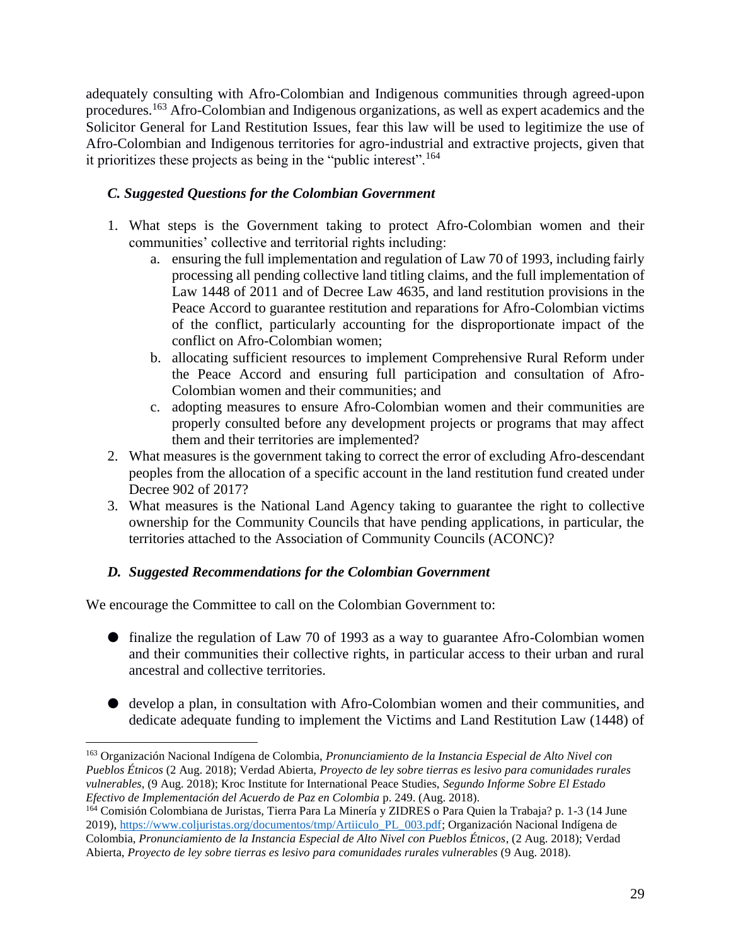adequately consulting with Afro-Colombian and Indigenous communities through agreed-upon procedures.<sup>163</sup> Afro-Colombian and Indigenous organizations, as well as expert academics and the Solicitor General for Land Restitution Issues, fear this law will be used to legitimize the use of Afro-Colombian and Indigenous territories for agro-industrial and extractive projects, given that it prioritizes these projects as being in the "public interest".<sup>164</sup>

### <span id="page-28-0"></span>*C. Suggested Questions for the Colombian Government*

- 1. What steps is the Government taking to protect Afro-Colombian women and their communities' collective and territorial rights including:
	- a. ensuring the full implementation and regulation of Law 70 of 1993, including fairly processing all pending collective land titling claims, and the full implementation of Law 1448 of 2011 and of Decree Law 4635, and land restitution provisions in the Peace Accord to guarantee restitution and reparations for Afro-Colombian victims of the conflict, particularly accounting for the disproportionate impact of the conflict on Afro-Colombian women;
	- b. allocating sufficient resources to implement Comprehensive Rural Reform under the Peace Accord and ensuring full participation and consultation of Afro-Colombian women and their communities; and
	- c. adopting measures to ensure Afro-Colombian women and their communities are properly consulted before any development projects or programs that may affect them and their territories are implemented?
- 2. What measures is the government taking to correct the error of excluding Afro-descendant peoples from the allocation of a specific account in the land restitution fund created under Decree 902 of 2017?
- 3. What measures is the National Land Agency taking to guarantee the right to collective ownership for the Community Councils that have pending applications, in particular, the territories attached to the Association of Community Councils (ACONC)?

### <span id="page-28-1"></span>*D. Suggested Recommendations for the Colombian Government*

We encourage the Committee to call on the Colombian Government to:

- finalize the regulation of Law 70 of 1993 as a way to guarantee Afro-Colombian women and their communities their collective rights, in particular access to their urban and rural ancestral and collective territories.
- develop a plan, in consultation with Afro-Colombian women and their communities, and dedicate adequate funding to implement the Victims and Land Restitution Law (1448) of

<sup>163</sup> Organización Nacional Indígena de Colombia, *Pronunciamiento de la Instancia Especial de Alto Nivel con Pueblos Étnicos* (2 Aug. 2018); Verdad Abierta, *Proyecto de ley sobre tierras es lesivo para comunidades rurales vulnerables*, (9 Aug. 2018); Kroc Institute for International Peace Studies, *Segundo Informe Sobre El Estado Efectivo de Implementación del Acuerdo de Paz en Colombia* p. 249. (Aug. 2018).

<sup>&</sup>lt;sup>164</sup> Comisión Colombiana de Juristas, Tierra Para La Minería y ZIDRES o Para Quien la Trabaja? p. 1-3 (14 June 2019), [https://www.coljuristas.org/documentos/tmp/Artiiculo\\_PL\\_003.pdf;](https://www.coljuristas.org/documentos/tmp/Artiiculo_PL_003.pdf) Organización Nacional Indígena de Colombia, *Pronunciamiento de la Instancia Especial de Alto Nivel con Pueblos Étnicos*, (2 Aug. 2018); Verdad Abierta, *Proyecto de ley sobre tierras es lesivo para comunidades rurales vulnerables* (9 Aug. 2018).